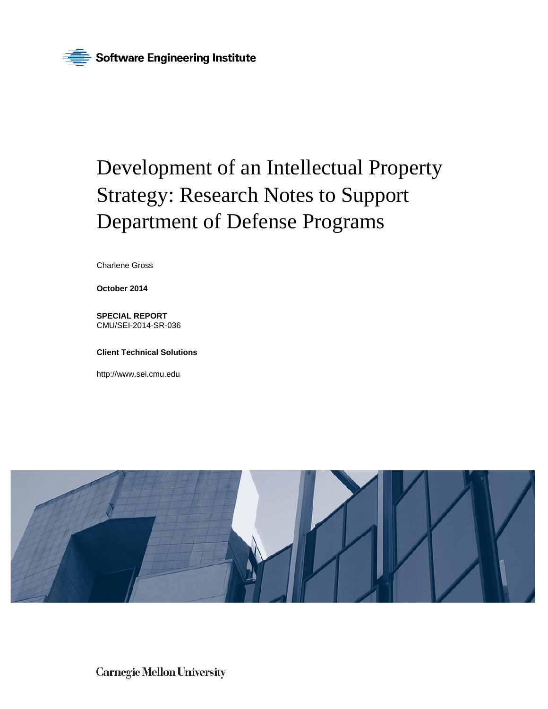

# Development of an Intellectual Property Strategy: Research Notes to Support Department of Defense Programs

Charlene Gross

**October 2014** 

**SPECIAL REPORT**  CMU/SEI-2014-SR-036

#### **Client Technical Solutions**

<http://www.sei.cmu.edu>



**Carnegie Mellon University**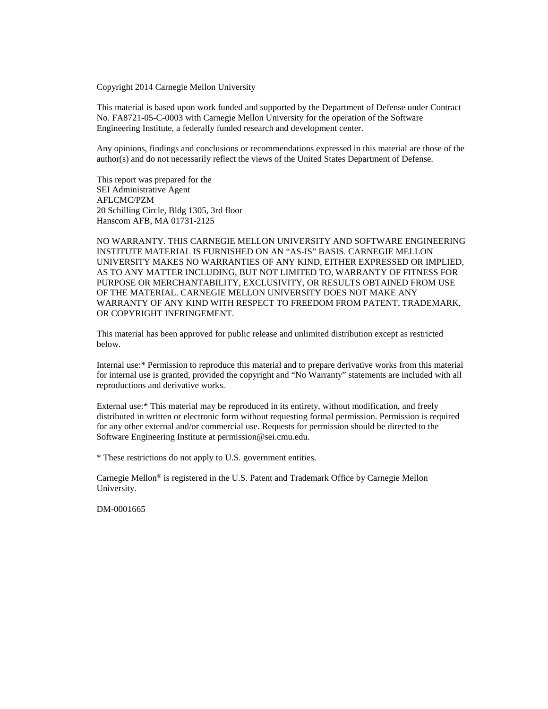Copyright 2014 Carnegie Mellon University

This material is based upon work funded and supported by the Department of Defense under Contract No. FA8721-05-C-0003 with Carnegie Mellon University for the operation of the Software Engineering Institute, a federally funded research and development center.

Any opinions, findings and conclusions or recommendations expressed in this material are those of the author(s) and do not necessarily reflect the views of the United States Department of Defense.

This report was prepared for the SEI Administrative Agent AFLCMC/PZM 20 Schilling Circle, Bldg 1305, 3rd floor Hanscom AFB, MA 01731-2125

NO WARRANTY. THIS CARNEGIE MELLON UNIVERSITY AND SOFTWARE ENGINEERING INSTITUTE MATERIAL IS FURNISHED ON AN "AS-IS" BASIS. CARNEGIE MELLON UNIVERSITY MAKES NO WARRANTIES OF ANY KIND, EITHER EXPRESSED OR IMPLIED, AS TO ANY MATTER INCLUDING, BUT NOT LIMITED TO, WARRANTY OF FITNESS FOR PURPOSE OR MERCHANTABILITY, EXCLUSIVITY, OR RESULTS OBTAINED FROM USE OF THE MATERIAL. CARNEGIE MELLON UNIVERSITY DOES NOT MAKE ANY WARRANTY OF ANY KIND WITH RESPECT TO FREEDOM FROM PATENT, TRADEMARK, OR COPYRIGHT INFRINGEMENT.

This material has been approved for public release and unlimited distribution except as restricted below.

Internal use:\* Permission to reproduce this material and to prepare derivative works from this material for internal use is granted, provided the copyright and "No Warranty" statements are included with all reproductions and derivative works.

External use:\* This material may be reproduced in its entirety, without modification, and freely distributed in written or electronic form without requesting formal permission. Permission is required for any other external and/or commercial use. Requests for permission should be directed to the Software Engineering Institute at [permission@sei.cmu.edu.](mailto:permission@sei.cmu.edu) 

\* These restrictions do not apply to U.S. government entities.

Carnegie Mellon® is registered in the U.S. Patent and Trademark Office by Carnegie Mellon University.

DM-0001665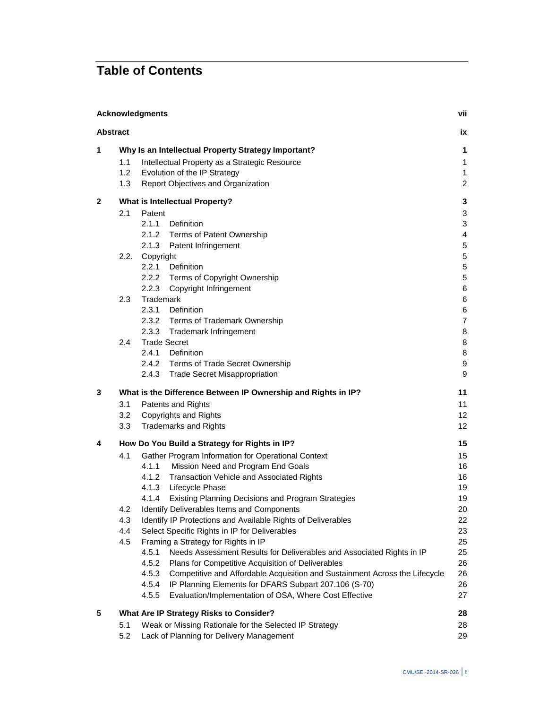## **Table of Contents**

|                 |                                                               | <b>Acknowledgments</b>                                                                                                                                 | vii                     |  |
|-----------------|---------------------------------------------------------------|--------------------------------------------------------------------------------------------------------------------------------------------------------|-------------------------|--|
| <b>Abstract</b> |                                                               |                                                                                                                                                        | ix                      |  |
| 1               |                                                               | Why Is an Intellectual Property Strategy Important?                                                                                                    | 1                       |  |
|                 | 1.1                                                           | Intellectual Property as a Strategic Resource                                                                                                          | $\mathbf{1}$            |  |
|                 | 1.2                                                           | Evolution of the IP Strategy                                                                                                                           | 1                       |  |
|                 | 1.3                                                           | Report Objectives and Organization                                                                                                                     | $\overline{c}$          |  |
| $\mathbf{2}$    | <b>What is Intellectual Property?</b>                         |                                                                                                                                                        | 3                       |  |
|                 | 2.1                                                           | Patent                                                                                                                                                 | 3                       |  |
|                 |                                                               | 2.1.1<br>Definition                                                                                                                                    | 3                       |  |
|                 |                                                               | Terms of Patent Ownership<br>2.1.2                                                                                                                     | $\overline{\mathbf{4}}$ |  |
|                 |                                                               | 2.1.3 Patent Infringement                                                                                                                              | $\mathbf 5$             |  |
|                 | 2.2.                                                          | Copyright                                                                                                                                              | $\mathbf 5$             |  |
|                 |                                                               | 2.2.1<br>Definition                                                                                                                                    | $\mathbf 5$             |  |
|                 |                                                               | Terms of Copyright Ownership<br>2.2.2                                                                                                                  | $\mathbf 5$             |  |
|                 |                                                               | Copyright Infringement<br>2.2.3                                                                                                                        | $\,6$                   |  |
|                 | 2.3                                                           | Trademark                                                                                                                                              | 6                       |  |
|                 |                                                               | 2.3.1<br>Definition                                                                                                                                    | 6                       |  |
|                 |                                                               | 2.3.2 Terms of Trademark Ownership                                                                                                                     | $\overline{7}$          |  |
|                 |                                                               | 2.3.3 Trademark Infringement<br><b>Trade Secret</b>                                                                                                    | 8<br>8                  |  |
|                 | 2.4                                                           | 2.4.1 Definition                                                                                                                                       | 8                       |  |
|                 |                                                               | 2.4.2 Terms of Trade Secret Ownership                                                                                                                  | $\boldsymbol{9}$        |  |
|                 |                                                               | 2.4.3 Trade Secret Misappropriation                                                                                                                    | 9                       |  |
| 3               | What is the Difference Between IP Ownership and Rights in IP? |                                                                                                                                                        |                         |  |
|                 | 3.1                                                           | Patents and Rights                                                                                                                                     | 11                      |  |
|                 | 3.2                                                           | Copyrights and Rights                                                                                                                                  | 12                      |  |
|                 | 3.3                                                           | <b>Trademarks and Rights</b>                                                                                                                           | 12                      |  |
| 4               |                                                               | How Do You Build a Strategy for Rights in IP?                                                                                                          | 15                      |  |
|                 | 4.1                                                           | Gather Program Information for Operational Context                                                                                                     | 15                      |  |
|                 |                                                               | Mission Need and Program End Goals<br>4.1.1                                                                                                            | 16                      |  |
|                 |                                                               | 4.1.2 Transaction Vehicle and Associated Rights                                                                                                        | 16                      |  |
|                 |                                                               | 4.1.3 Lifecycle Phase                                                                                                                                  | 19                      |  |
|                 |                                                               | 4.1.4 Existing Planning Decisions and Program Strategies                                                                                               | 19                      |  |
|                 | 4.2                                                           | <b>Identify Deliverables Items and Components</b>                                                                                                      | 20                      |  |
|                 | 4.3                                                           | Identify IP Protections and Available Rights of Deliverables                                                                                           | 22                      |  |
|                 | 4.4                                                           | Select Specific Rights in IP for Deliverables                                                                                                          | 23                      |  |
|                 | 4.5                                                           | Framing a Strategy for Rights in IP                                                                                                                    | 25                      |  |
|                 |                                                               | 4.5.1<br>Needs Assessment Results for Deliverables and Associated Rights in IP<br>4.5.2                                                                | 25                      |  |
|                 |                                                               | Plans for Competitive Acquisition of Deliverables                                                                                                      | 26                      |  |
|                 |                                                               | 4.5.3<br>Competitive and Affordable Acquisition and Sustainment Across the Lifecycle<br>4.5.4<br>IP Planning Elements for DFARS Subpart 207.106 (S-70) | 26<br>26                |  |
|                 |                                                               | Evaluation/Implementation of OSA, Where Cost Effective<br>4.5.5                                                                                        | 27                      |  |
| 5               | What Are IP Strategy Risks to Consider?                       |                                                                                                                                                        |                         |  |
|                 | 5.1                                                           | Weak or Missing Rationale for the Selected IP Strategy                                                                                                 | 28<br>28                |  |
|                 | 5.2                                                           | Lack of Planning for Delivery Management                                                                                                               | 29                      |  |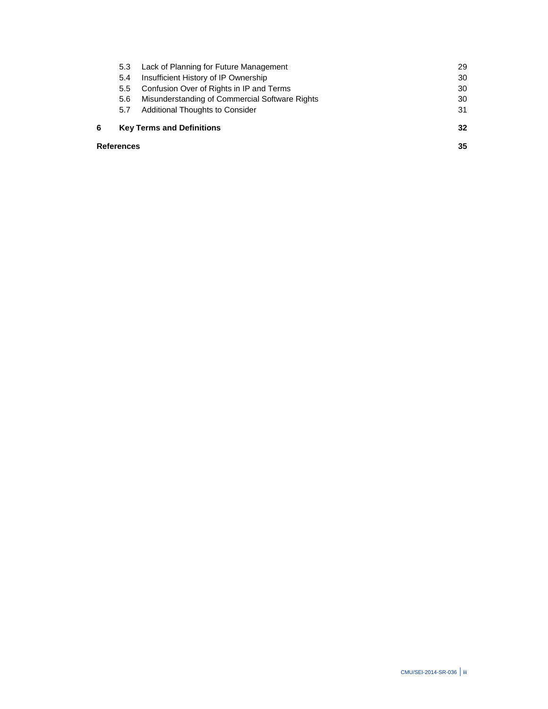| References |                                  |                                                | 35 |
|------------|----------------------------------|------------------------------------------------|----|
| 6.         | <b>Key Terms and Definitions</b> |                                                | 32 |
|            | 5.7                              | Additional Thoughts to Consider                | 31 |
|            | 5.6                              | Misunderstanding of Commercial Software Rights | 30 |
|            | $5.5^{\circ}$                    | Confusion Over of Rights in IP and Terms       | 30 |
|            | 5.4                              | Insufficient History of IP Ownership           | 30 |
|            | 5.3                              | Lack of Planning for Future Management         | 29 |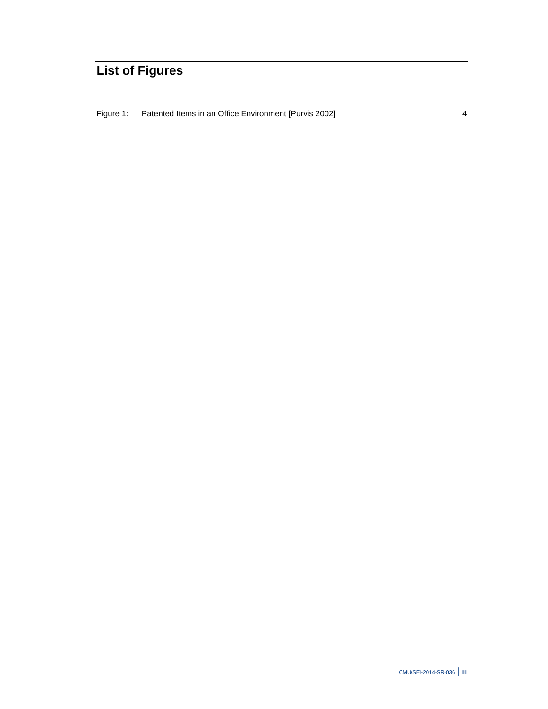## **List of Figures**

Figure 1: Patented Items in an Office Environment [Purvis 2002] 4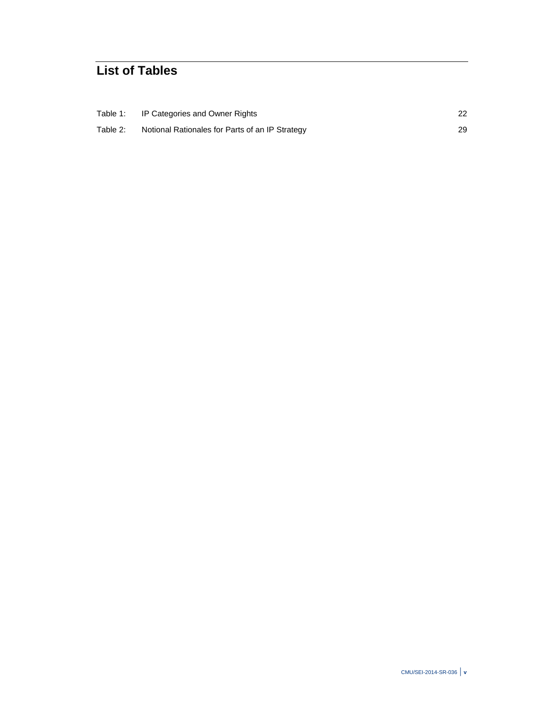## **List of Tables**

|          | Table 1: IP Categories and Owner Rights         | 22 |
|----------|-------------------------------------------------|----|
| Table 2: | Notional Rationales for Parts of an IP Strategy | 29 |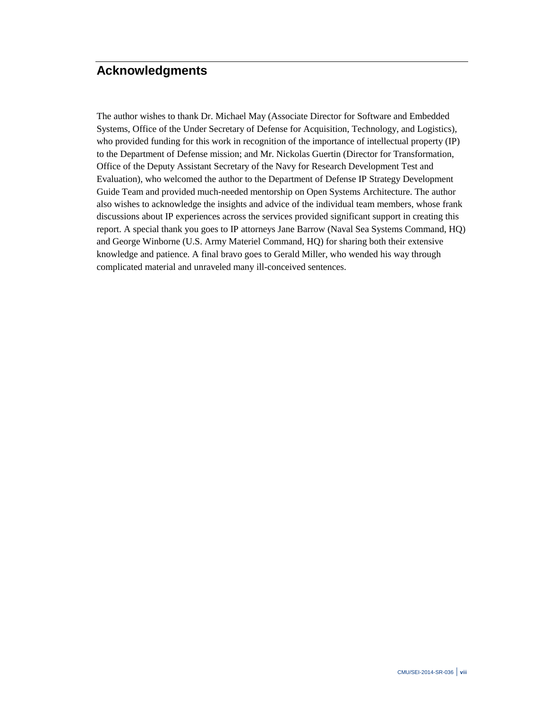## **Acknowledgments**

The author wishes to thank Dr. Michael May (Associate Director for Software and Embedded Systems, Office of the Under Secretary of Defense for Acquisition, Technology, and Logistics), who provided funding for this work in recognition of the importance of intellectual property (IP) to the Department of Defense mission; and Mr. Nickolas Guertin (Director for Transformation, Office of the Deputy Assistant Secretary of the Navy for Research Development Test and Evaluation), who welcomed the author to the Department of Defense IP Strategy Development Guide Team and provided much-needed mentorship on Open Systems Architecture. The author also wishes to acknowledge the insights and advice of the individual team members, whose frank discussions about IP experiences across the services provided significant support in creating this report. A special thank you goes to IP attorneys Jane Barrow (Naval Sea Systems Command, HQ) and George Winborne (U.S. Army Materiel Command, HQ) for sharing both their extensive knowledge and patience. A final bravo goes to Gerald Miller, who wended his way through complicated material and unraveled many ill-conceived sentences.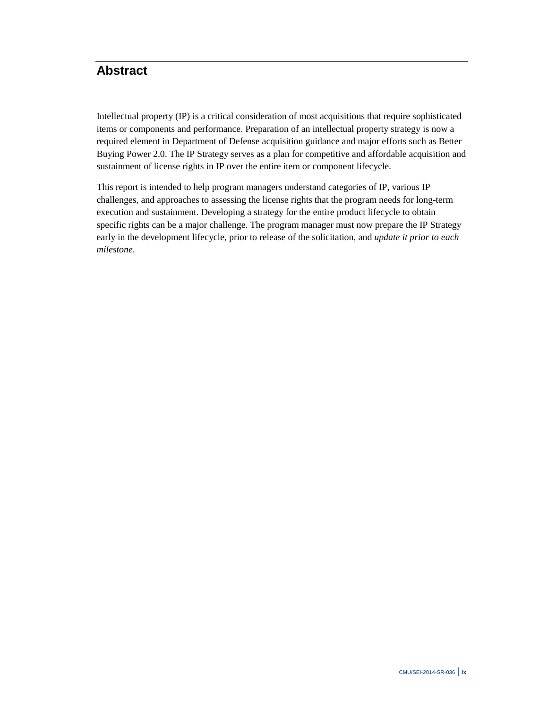## **Abstract**

Intellectual property (IP) is a critical consideration of most acquisitions that require sophisticated items or components and performance. Preparation of an intellectual property strategy is now a required element in Department of Defense acquisition guidance and major efforts such as Better Buying Power 2.0. The IP Strategy serves as a plan for competitive and affordable acquisition and sustainment of license rights in IP over the entire item or component lifecycle.

This report is intended to help program managers understand categories of IP, various IP challenges, and approaches to assessing the license rights that the program needs for long-term execution and sustainment. Developing a strategy for the entire product lifecycle to obtain specific rights can be a major challenge. The program manager must now prepare the IP Strategy early in the development lifecycle, prior to release of the solicitation, and *update it prior to each milestone*.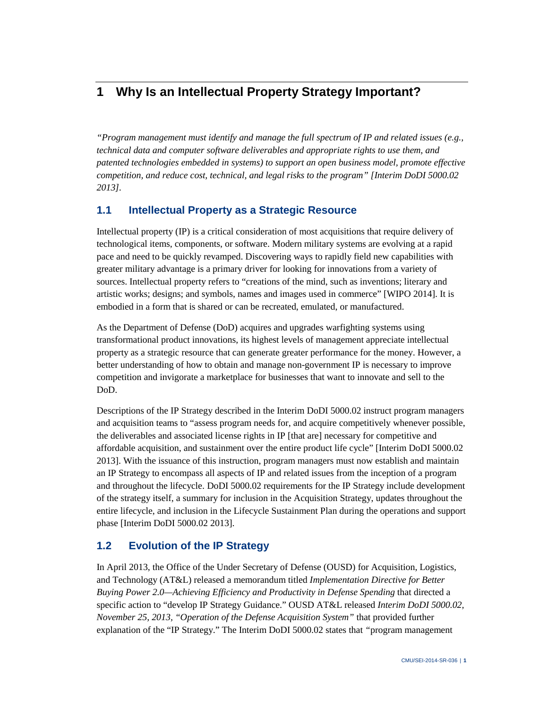## **1 Why Is an Intellectual Property Strategy Important?**

*"Program management must identify and manage the full spectrum of IP and related issues (e.g., technical data and computer software deliverables and appropriate rights to use them, and patented technologies embedded in systems) to support an open business model, promote effective competition, and reduce cost, technical, and legal risks to the program" [Interim DoDI 5000.02 2013].* 

#### **1.1 Intellectual Property as a Strategic Resource**

Intellectual property (IP) is a critical consideration of most acquisitions that require delivery of technological items, components, or software. Modern military systems are evolving at a rapid pace and need to be quickly revamped. Discovering ways to rapidly field new capabilities with greater military advantage is a primary driver for looking for innovations from a variety of sources. Intellectual property refers to "creations of the mind, such as inventions; literary and artistic works; designs; and symbols, names and images used in commerce" [WIPO 2014]. It is embodied in a form that is shared or can be recreated, emulated, or manufactured.

As the Department of Defense (DoD) acquires and upgrades warfighting systems using transformational product innovations, its highest levels of management appreciate intellectual property as a strategic resource that can generate greater performance for the money. However, a better understanding of how to obtain and manage non-government IP is necessary to improve competition and invigorate a marketplace for businesses that want to innovate and sell to the DoD.

Descriptions of the IP Strategy described in the Interim DoDI 5000.02 instruct program managers and acquisition teams to "assess program needs for, and acquire competitively whenever possible, the deliverables and associated license rights in IP [that are] necessary for competitive and affordable acquisition, and sustainment over the entire product life cycle" [Interim DoDI 5000.02 2013]. With the issuance of this instruction, program managers must now establish and maintain an IP Strategy to encompass all aspects of IP and related issues from the inception of a program and throughout the lifecycle. DoDI 5000.02 requirements for the IP Strategy include development of the strategy itself, a summary for inclusion in the Acquisition Strategy, updates throughout the entire lifecycle, and inclusion in the Lifecycle Sustainment Plan during the operations and support phase [Interim DoDI 5000.02 2013].

#### **1.2 Evolution of the IP Strategy**

In April 2013, the Office of the Under Secretary of Defense (OUSD) for Acquisition, Logistics, and Technology (AT&L) released a memorandum titled *Implementation Directive for Better Buying Power 2.0—Achieving Efficiency and Productivity in Defense Spending* that directed a specific action to "develop IP Strategy Guidance." OUSD AT&L released *Interim DoDI 5000.02, November 25, 2013, "Operation of the Defense Acquisition System"* that provided further explanation of the "IP Strategy." The Interim DoDI 5000.02 states that *"*program management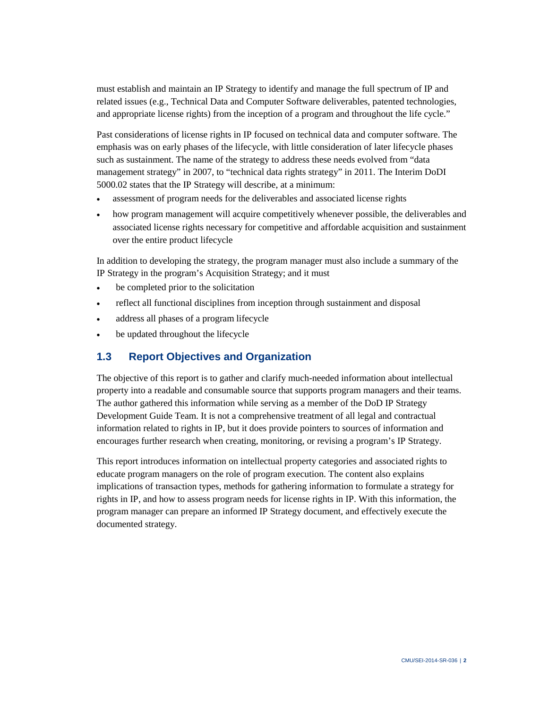must establish and maintain an IP Strategy to identify and manage the full spectrum of IP and related issues (e.g., Technical Data and Computer Software deliverables, patented technologies, and appropriate license rights) from the inception of a program and throughout the life cycle."

Past considerations of license rights in IP focused on technical data and computer software. The emphasis was on early phases of the lifecycle, with little consideration of later lifecycle phases such as sustainment. The name of the strategy to address these needs evolved from "data management strategy" in 2007, to "technical data rights strategy" in 2011. The Interim DoDI 5000.02 states that the IP Strategy will describe, at a minimum:

- assessment of program needs for the deliverables and associated license rights
- how program management will acquire competitively whenever possible, the deliverables and associated license rights necessary for competitive and affordable acquisition and sustainment over the entire product lifecycle

In addition to developing the strategy, the program manager must also include a summary of the IP Strategy in the program's Acquisition Strategy; and it must

- be completed prior to the solicitation
- reflect all functional disciplines from inception through sustainment and disposal
- address all phases of a program lifecycle
- be updated throughout the lifecycle

#### **1.3 Report Objectives and Organization**

The objective of this report is to gather and clarify much-needed information about intellectual property into a readable and consumable source that supports program managers and their teams. The author gathered this information while serving as a member of the DoD IP Strategy Development Guide Team. It is not a comprehensive treatment of all legal and contractual information related to rights in IP, but it does provide pointers to sources of information and encourages further research when creating, monitoring, or revising a program's IP Strategy.

This report introduces information on intellectual property categories and associated rights to educate program managers on the role of program execution. The content also explains implications of transaction types, methods for gathering information to formulate a strategy for rights in IP, and how to assess program needs for license rights in IP. With this information, the program manager can prepare an informed IP Strategy document, and effectively execute the documented strategy.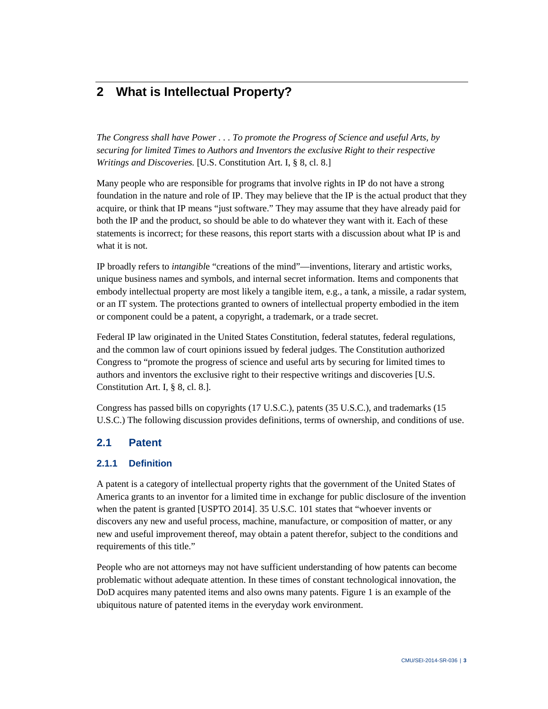## **2 What is Intellectual Property?**

*The Congress shall have Power . . . To promote the Progress of Science and useful Arts, by securing for limited Times to Authors and Inventors the exclusive Right to their respective Writings and Discoveries.* [U.S. Constitution Art. I, § 8, cl. 8.]

Many people who are responsible for programs that involve rights in IP do not have a strong foundation in the nature and role of IP. They may believe that the IP is the actual product that they acquire, or think that IP means "just software." They may assume that they have already paid for both the IP and the product, so should be able to do whatever they want with it. Each of these statements is incorrect; for these reasons, this report starts with a discussion about what IP is and what it is not.

IP broadly refers to *intangibl*e "creations of the mind"—inventions, literary and artistic works, unique business names and symbols, and internal secret information. Items and components that embody intellectual property are most likely a tangible item, e.g., a tank, a missile, a radar system, or an IT system. The protections granted to owners of intellectual property embodied in the item or component could be a patent, a copyright, a trademark, or a trade secret.

Federal IP law originated in the United States Constitution, federal statutes, federal regulations, and the common law of court opinions issued by federal judges. The Constitution authorized Congress to "promote the progress of science and useful arts by securing for limited times to authors and inventors the exclusive right to their respective writings and discoveries [U.S. Constitution Art. I, § 8, cl. 8.].

Congress has passed bills on copyrights (17 U.S.C.), patents (35 U.S.C.), and trademarks (15 U.S.C.) The following discussion provides definitions, terms of ownership, and conditions of use.

#### **2.1 Patent**

#### **2.1.1 Definition**

A patent is a category of intellectual property rights that the government of the United States of America grants to an inventor for a limited time in exchange for public disclosure of the invention when the patent is granted [USPTO 2014]. 35 U.S.C. 101 states that "whoever invents or discovers any new and useful process, machine, manufacture, or composition of matter, or any new and useful improvement thereof, may obtain a patent therefor, subject to the conditions and requirements of this title."

People who are not attorneys may not have sufficient understanding of how patents can become problematic without adequate attention. In these times of constant technological innovation, the DoD acquires many patented items and also owns many patents. Figure 1 is an example of the ubiquitous nature of patented items in the everyday work environment.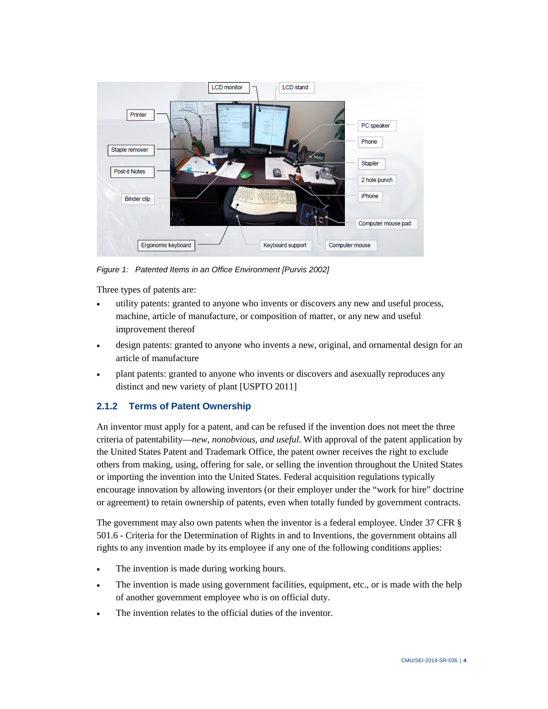

*Figure 1: Patented Items in an Office Environment [Purvis 2002]* 

Three types of patents are:

- utility patents: granted to anyone who invents or discovers any new and useful process, machine, article of manufacture, or composition of matter, or any new and useful improvement thereof
- design patents: granted to anyone who invents a new, original, and ornamental design for an article of manufacture
- plant patents: granted to anyone who invents or discovers and asexually reproduces any distinct and new variety of plant [USPTO 2011]

#### **2.1.2 Terms of Patent Ownership**

An inventor must apply for a patent, and can be refused if the invention does not meet the three criteria of patentability—*new, nonobvious, and useful*. With approval of the patent application by the United States Patent and Trademark Office, the patent owner receives the right to exclude others from making, using, offering for sale, or selling the invention throughout the United States or importing the invention into the United States. Federal acquisition regulations typically encourage innovation by allowing inventors (or their employer under the "work for hire" doctrine or agreement) to retain ownership of patents, even when totally funded by government contracts.

The government may also own patents when the inventor is a federal employee. Under 37 CFR § 501.6 - Criteria for the Determination of Rights in and to Inventions, the government obtains all rights to any invention made by its employee if any one of the following conditions applies:

- The invention is made during working hours.
- The invention is made using government facilities, equipment, etc., or is made with the help of another government employee who is on official duty.
- The invention relates to the official duties of the inventor.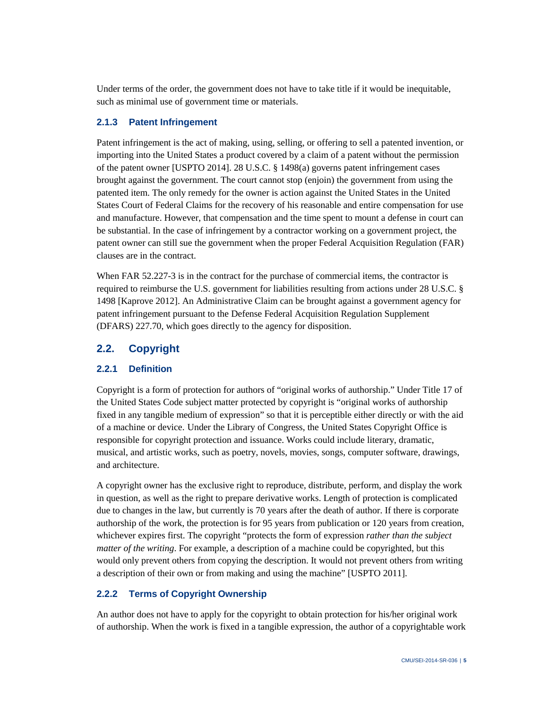Under terms of the order, the government does not have to take title if it would be inequitable, such as minimal use of government time or materials.

#### **2.1.3 Patent Infringement**

Patent infringement is the act of making, using, selling, or offering to sell a patented invention, or importing into the United States a product covered by a claim of a patent without the permission of the patent owner [USPTO 2014]. 28 U.S.C. § 1498(a) governs patent infringement cases brought against the government. The court cannot stop (enjoin) the government from using the patented item. The only remedy for the owner is action against the United States in the United States Court of Federal Claims for the recovery of his reasonable and entire compensation for use and manufacture. However, that compensation and the time spent to mount a defense in court can be substantial. In the case of infringement by a contractor working on a government project, the patent owner can still sue the government when the proper Federal Acquisition Regulation (FAR) clauses are in the contract.

When FAR 52.227-3 is in the contract for the purchase of commercial items, the contractor is required to reimburse the U.S. government for liabilities resulting from actions under 28 U.S.C. § 1498 [Kaprove 2012]. An Administrative Claim can be brought against a government agency for patent infringement pursuant to the Defense Federal Acquisition Regulation Supplement (DFARS) 227.70, which goes directly to the agency for disposition.

#### **2.2. Copyright**

#### **2.2.1 Definition**

Copyright is a form of protection for authors of "original works of authorship." Under Title 17 of the United States Code subject matter protected by copyright is "original works of authorship fixed in any tangible medium of expression" so that it is perceptible either directly or with the aid of a machine or device. Under the Library of Congress, the United States Copyright Office is responsible for copyright protection and issuance. Works could include literary, dramatic, musical, and artistic works, such as poetry, novels, movies, songs, computer software, drawings, and architecture.

A copyright owner has the exclusive right to reproduce, distribute, perform, and display the work in question, as well as the right to prepare derivative works. Length of protection is complicated due to changes in the law, but currently is 70 years after the death of author. If there is corporate authorship of the work, the protection is for 95 years from publication or 120 years from creation, whichever expires first. The copyright "protects the form of expression *rather than the subject matter of the writing*. For example, a description of a machine could be copyrighted, but this would only prevent others from copying the description. It would not prevent others from writing a description of their own or from making and using the machine" [USPTO 2011].

#### **2.2.2 Terms of Copyright Ownership**

An author does not have to apply for the copyright to obtain protection for his/her original work of authorship. When the work is fixed in a tangible expression, the author of a copyrightable work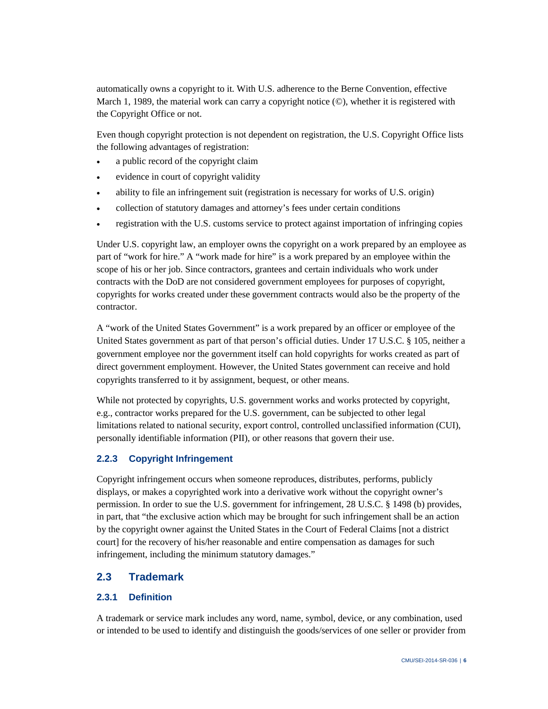automatically owns a copyright to it. With U.S. adherence to the Berne Convention, effective March 1, 1989, the material work can carry a copyright notice  $(\mathbb{O})$ , whether it is registered with the Copyright Office or not.

Even though copyright protection is not dependent on registration, the U.S. Copyright Office lists the following advantages of registration:

- a public record of the copyright claim
- evidence in court of copyright validity
- ability to file an infringement suit (registration is necessary for works of U.S. origin)
- collection of statutory damages and attorney's fees under certain conditions
- registration with the U.S. customs service to protect against importation of infringing copies

Under U.S. copyright law, an employer owns the copyright on a work prepared by an employee as part of "work for hire." A "work made for hire" is a work prepared by an employee within the scope of his or her job. Since contractors, grantees and certain individuals who work under contracts with the DoD are not considered government employees for purposes of copyright, copyrights for works created under these government contracts would also be the property of the contractor.

A "work of the United States Government" is a work prepared by an officer or employee of the United States government as part of that person's official duties. Under 17 U.S.C. § 105, neither a government employee nor the government itself can hold copyrights for works created as part of direct government employment. However, the United States government can receive and hold copyrights transferred to it by assignment, bequest, or other means.

While not protected by copyrights, U.S. government works and works protected by copyright, e.g., contractor works prepared for the U.S. government, can be subjected to other legal limitations related to national security, export control, controlled unclassified information (CUI), personally identifiable information (PII), or other reasons that govern their use.

#### **2.2.3 Copyright Infringement**

Copyright infringement occurs when someone reproduces, distributes, performs, publicly displays, or makes a copyrighted work into a derivative work without the copyright owner's permission. In order to sue the U.S. government for infringement, 28 U.S.C. § 1498 (b) provides, in part, that "the exclusive action which may be brought for such infringement shall be an action by the copyright owner against the United States in the Court of Federal Claims [not a district court] for the recovery of his/her reasonable and entire compensation as damages for such infringement, including the minimum statutory damages."

#### **2.3 Trademark**

#### **2.3.1 Definition**

A trademark or service mark includes any word, name, symbol, device, or any combination, used or intended to be used to identify and distinguish the goods/services of one seller or provider from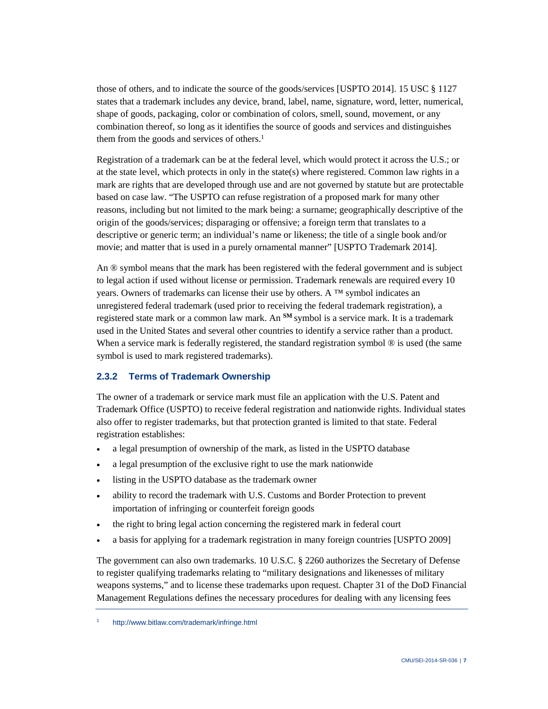those of others, and to indicate the source of the goods/services [USPTO 2014]. 15 USC § 1127 states that a trademark includes any device, brand, label, name, signature, word, letter, numerical, shape of goods, packaging, color or combination of colors, smell, sound, movement, or any combination thereof, so long as it identifies the source of goods and services and distinguishes them from the goods and services of others. $<sup>1</sup>$ </sup>

Registration of a trademark can be at the federal level, which would protect it across the U.S.; or at the state level, which protects in only in the state(s) where registered. Common law rights in a mark are rights that are developed through use and are not governed by statute but are protectable based on case law. "The USPTO can refuse registration of a proposed mark for many other reasons, including but not limited to the mark being: a surname; geographically descriptive of the origin of the goods/services; disparaging or offensive; a foreign term that translates to a descriptive or generic term; an individual's name or likeness; the title of a single book and/or movie; and matter that is used in a purely ornamental manner" [USPTO Trademark 2014].

An ® symbol means that the mark has been registered with the federal government and is subject to legal action if used without license or permission. Trademark renewals are required every 10 years. Owners of trademarks can license their use by others. A ™ symbol indicates an unregistered federal trademark (used prior to receiving the federal trademark registration), a registered state mark or a common law mark. An **SM** symbol is a service mark. It is a trademark used in the United States and several other countries to identify a service rather than a product. When a service mark is federally registered, the standard registration symbol  $\mathcal{O}$  is used (the same symbol is used to mark registered trademarks).

#### **2.3.2 Terms of Trademark Ownership**

The owner of a trademark or service mark must file an application with the U.S. Patent and Trademark Office (USPTO) to receive federal registration and nationwide rights. Individual states also offer to register trademarks, but that protection granted is limited to that state. Federal registration establishes:

- a legal presumption of ownership of the mark, as listed in the USPTO database
- a legal presumption of the exclusive right to use the mark nationwide
- listing in the USPTO database as the trademark owner
- ability to record the trademark with U.S. Customs and Border Protection to prevent importation of infringing or counterfeit foreign goods
- the right to bring legal action concerning the registered mark in federal court
- a basis for applying for a trademark registration in many foreign countries [USPTO 2009]

The government can also own trademarks. 10 U.S.C. § 2260 authorizes the Secretary of Defense to register qualifying trademarks relating to "military designations and likenesses of military weapons systems," and to license these trademarks upon request. Chapter 31 of the DoD Financial Management Regulations defines the necessary procedures for dealing with any licensing fees

<sup>1</sup> <http://www.bitlaw.com/trademark/infringe.html>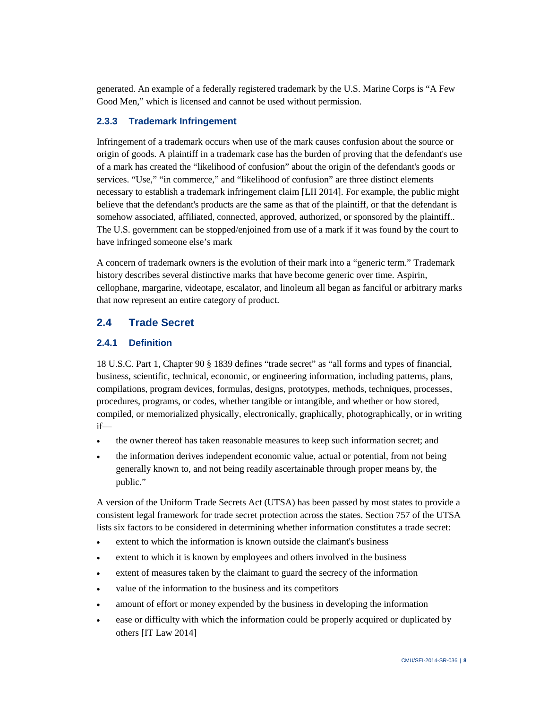generated. An example of a federally registered trademark by the U.S. Marine Corps is "A Few Good Men," which is licensed and cannot be used without permission.

#### **2.3.3 Trademark Infringement**

Infringement of a trademark occurs when use of the mark causes confusion about the source or origin of goods. A plaintiff in a trademark case has the burden of proving that the defendant's use of a mark has created the "likelihood of confusion" about the origin of the defendant's goods or services. "Use," "in commerce," and "likelihood of confusion" are three distinct elements necessary to establish a trademark infringement claim [LII 2014]. For example, the public might believe that the defendant's products are the same as that of the plaintiff, or that the defendant is somehow associated, affiliated, connected, approved, authorized, or sponsored by the plaintiff.. The U.S. government can be stopped/enjoined from use of a mark if it was found by the court to have infringed someone else's mark

A concern of trademark owners is the evolution of their mark into a "generic term." Trademark history describes several distinctive marks that have become generic over time. Aspirin, cellophane, margarine, videotape, escalator, and linoleum all began as fanciful or arbitrary marks that now represent an entire category of product.

#### **2.4 Trade Secret**

#### **2.4.1 Definition**

18 U.S.C. Part 1, Chapter 90 § 1839 defines "trade secret" as "all forms and types of financial, business, scientific, technical, economic, or engineering information, including patterns, plans, compilations, program devices, formulas, designs, prototypes, methods, techniques, processes, procedures, programs, or codes, whether tangible or intangible, and whether or how stored, compiled, or memorialized physically, electronically, graphically, photographically, or in writing if—

- the owner thereof has taken reasonable measures to keep such information secret; and
- the information derives independent economic value, actual or potential, from not being generally known to, and not being readily ascertainable through proper means by, the public."

A version of the Uniform Trade Secrets Act (UTSA) has been passed by most states to provide a consistent legal framework for trade secret protection across the states. Section 757 of the UTSA lists six factors to be considered in determining whether information constitutes a trade secret:

- extent to which the information is known outside the claimant's business
- extent to which it is known by employees and others involved in the business
- extent of measures taken by the claimant to guard the secrecy of the information
- value of the information to the business and its competitors
- amount of effort or money expended by the business in developing the information
- ease or difficulty with which the information could be properly acquired or duplicated by others [IT Law 2014]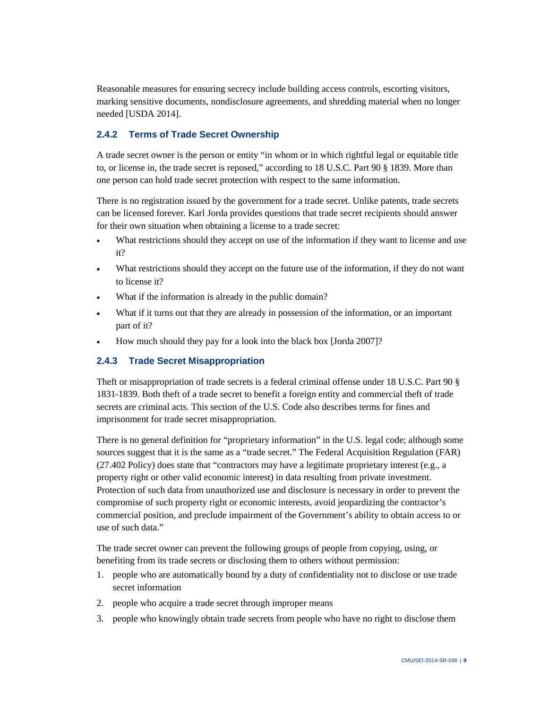Reasonable measures for ensuring secrecy include building access controls, escorting visitors, marking sensitive documents, nondisclosure agreements, and shredding material when no longer needed [USDA 2014].

#### **2.4.2 Terms of Trade Secret Ownership**

A trade secret owner is the person or entity "in whom or in which rightful legal or equitable title to, or license in, the trade secret is reposed," according to 18 U.S.C. Part 90 § 1839. More than one person can hold trade secret protection with respect to the same information.

There is no registration issued by the government for a trade secret. Unlike patents, trade secrets can be licensed forever. Karl Jorda provides questions that trade secret recipients should answer for their own situation when obtaining a license to a trade secret:

- What restrictions should they accept on use of the information if they want to license and use it?
- What restrictions should they accept on the future use of the information, if they do not want to license it?
- What if the information is already in the public domain?
- What if it turns out that they are already in possession of the information, or an important part of it?
- How much should they pay for a look into the black box [Jorda 2007]?

#### **2.4.3 Trade Secret Misappropriation**

Theft or misappropriation of trade secrets is a federal criminal offense under 18 U.S.C. Part 90 § 1831-1839. Both theft of a trade secret to benefit a foreign entity and commercial theft of trade secrets are criminal acts. This section of the U.S. Code also describes terms for fines and imprisonment for trade secret misappropriation.

There is no general definition for "proprietary information" in the U.S. legal code; although some sources suggest that it is the same as a "trade secret." The Federal Acquisition Regulation (FAR) (27.402 Policy) does state that "contractors may have a legitimate proprietary interest (e.g., a property right or other valid economic interest) in data resulting from private investment. Protection of such data from unauthorized use and disclosure is necessary in order to prevent the compromise of such property right or economic interests, avoid jeopardizing the contractor's commercial position, and preclude impairment of the Government's ability to obtain access to or use of such data."

The trade secret owner can prevent the following groups of people from copying, using, or benefiting from its trade secrets or disclosing them to others without permission:

- 1. people who are automatically bound by a duty of confidentiality not to disclose or use trade secret information
- 2. people who acquire a trade secret through improper means
- 3. people who knowingly obtain trade secrets from people who have no right to disclose them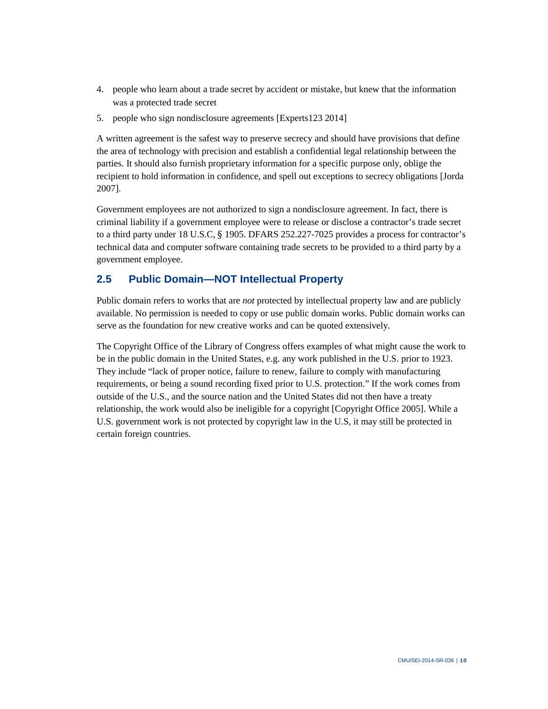- 4. people who learn about a trade secret by accident or mistake, but knew that the information was a protected trade secret
- 5. people who sign nondisclosure agreements [Experts123 2014]

A written agreement is the safest way to preserve secrecy and should have provisions that define the area of technology with precision and establish a confidential legal relationship between the parties. It should also furnish proprietary information for a specific purpose only, oblige the recipient to hold information in confidence, and spell out exceptions to secrecy obligations [Jorda 2007].

Government employees are not authorized to sign a nondisclosure agreement. In fact, there is criminal liability if a government employee were to release or disclose a contractor's trade secret to a third party under 18 U.S.C, § 1905. DFARS 252.227-7025 provides a process for contractor's technical data and computer software containing trade secrets to be provided to a third party by a government employee.

#### **2.5 Public Domain—NOT Intellectual Property**

Public domain refers to works that are *not* protected by intellectual property law and are publicly available. No permission is needed to copy or use public domain works. Public domain works can serve as the foundation for new creative works and can be quoted extensively.

The Copyright Office of the Library of Congress offers examples of what might cause the work to be in the public domain in the United States, e.g. any work published in the U.S. prior to 1923. They include "lack of proper notice, failure to renew, failure to comply with manufacturing requirements, or being a sound recording fixed prior to U.S. protection." If the work comes from outside of the U.S., and the source nation and the United States did not then have a treaty relationship, the work would also be ineligible for a copyright [Copyright Office 2005]. While a U.S. government work is not protected by copyright law in the U.S, it may still be protected in certain foreign countries.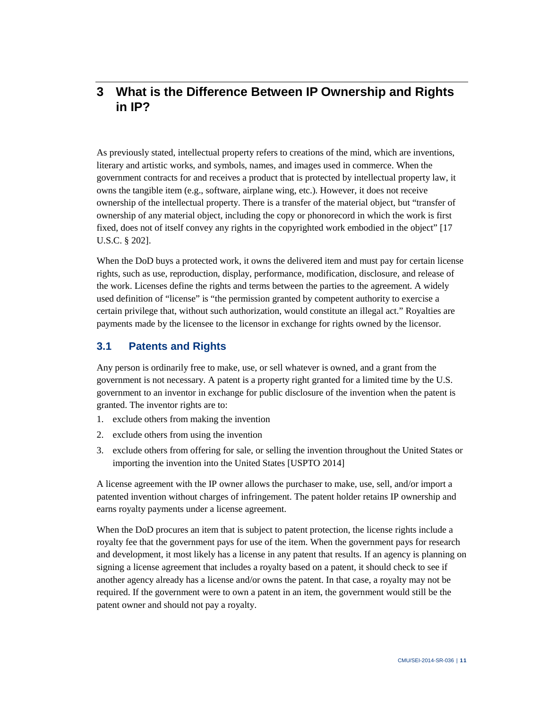## **3 What is the Difference Between IP Ownership and Rights in IP?**

As previously stated, intellectual property refers to creations of the mind, which are inventions, literary and artistic works, and symbols, names, and images used in commerce. When the government contracts for and receives a product that is protected by intellectual property law, it owns the tangible item (e.g., software, airplane wing, etc.). However, it does not receive ownership of the intellectual property. There is a transfer of the material object, but "transfer of ownership of any material object, including the copy or phonorecord in which the work is first fixed, does not of itself convey any rights in the copyrighted work embodied in the object" [17 U.S.C. § 202].

When the DoD buys a protected work, it owns the delivered item and must pay for certain license rights, such as use, reproduction, display, performance, modification, disclosure, and release of the work. Licenses define the rights and terms between the parties to the agreement. A widely used definition of "license" is "the permission granted by competent authority to exercise a certain privilege that, without such authorization, would constitute an illegal act." Royalties are payments made by the licensee to the licensor in exchange for rights owned by the licensor.

#### **3.1 Patents and Rights**

Any person is ordinarily free to make, use, or sell whatever is owned, and a grant from the government is not necessary. A patent is a property right granted for a limited time by the U.S. government to an inventor in exchange for public disclosure of the invention when the patent is granted. The inventor rights are to:

- 1. exclude others from making the invention
- 2. exclude others from using the invention
- 3. exclude others from offering for sale, or selling the invention throughout the United States or importing the invention into the United States [USPTO 2014]

A license agreement with the IP owner allows the purchaser to make, use, sell, and/or import a patented invention without charges of infringement. The patent holder retains IP ownership and earns royalty payments under a license agreement.

When the DoD procures an item that is subject to patent protection, the license rights include a royalty fee that the government pays for use of the item. When the government pays for research and development, it most likely has a license in any patent that results. If an agency is planning on signing a license agreement that includes a royalty based on a patent, it should check to see if another agency already has a license and/or owns the patent. In that case, a royalty may not be required. If the government were to own a patent in an item, the government would still be the patent owner and should not pay a royalty.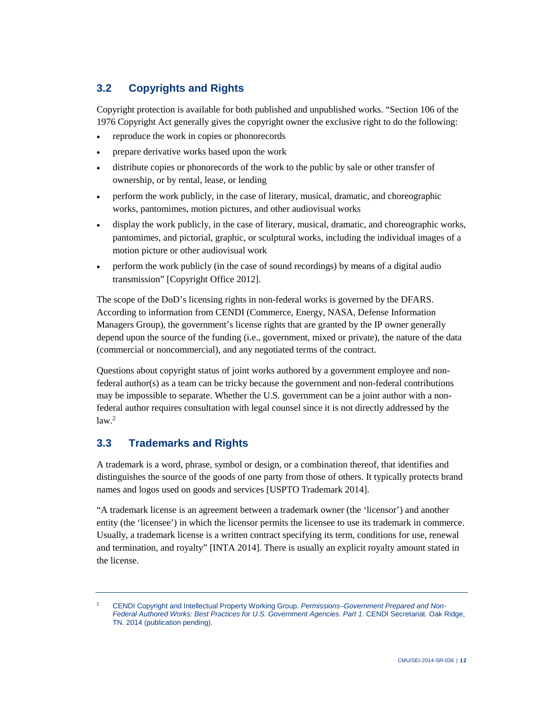### **3.2 Copyrights and Rights**

Copyright protection is available for both published and unpublished works. "Section 106 of the 1976 Copyright Act generally gives the copyright owner the exclusive right to do the following:

- reproduce the work in copies or phonorecords
- prepare derivative works based upon the work
- distribute copies or phonorecords of the work to the public by sale or other transfer of ownership, or by rental, lease, or lending
- perform the work publicly, in the case of literary, musical, dramatic, and choreographic works, pantomimes, motion pictures, and other audiovisual works
- display the work publicly, in the case of literary, musical, dramatic, and choreographic works, pantomimes, and pictorial, graphic, or sculptural works, including the individual images of a motion picture or other audiovisual work
- perform the work publicly (in the case of sound recordings) by means of a digital audio transmission" [Copyright Office 2012].

The scope of the DoD's licensing rights in non-federal works is governed by the DFARS. According to information from CENDI (Commerce, Energy, NASA, Defense Information Managers Group), the government's license rights that are granted by the IP owner generally depend upon the source of the funding (i.e., government, mixed or private), the nature of the data (commercial or noncommercial), and any negotiated terms of the contract.

Questions about copyright status of joint works authored by a government employee and nonfederal author(s) as a team can be tricky because the government and non-federal contributions may be impossible to separate. Whether the U.S. government can be a joint author with a nonfederal author requires consultation with legal counsel since it is not directly addressed by the  $law<sup>2</sup>$ 

#### **3.3 Trademarks and Rights**

A trademark is a word, phrase, symbol or design, or a combination thereof, that identifies and distinguishes the source of the goods of one party from those of others. It typically protects brand names and logos used on goods and services [USPTO Trademark 2014].

"A trademark license is an agreement between a trademark owner (the 'licensor') and another entity (the 'licensee') in which the licensor permits the licensee to use its trademark in commerce. Usually, a trademark license is a written contract specifying its term, conditions for use, renewal and termination, and royalty" [INTA 2014]. There is usually an explicit royalty amount stated in the license.

<sup>2</sup> CENDI Copyright and Intellectual Property Working Group. *Permissions–Government Prepared and Non-Federal Authored Works: Best Practices for U.S. Government Agencies. Part 1*. CENDI Secretariat. Oak Ridge, TN. 2014 (publication pending).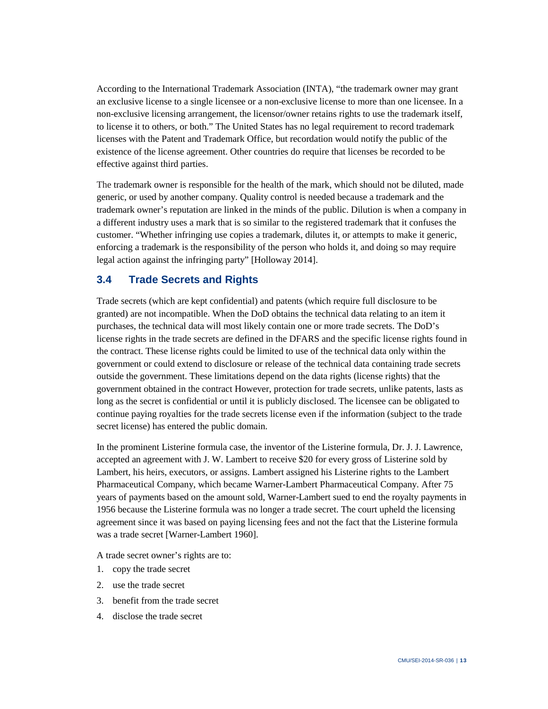According to the International Trademark Association (INTA), "the trademark owner may grant an exclusive license to a single licensee or a non-exclusive license to more than one licensee. In a non-exclusive licensing arrangement, the licensor/owner retains rights to use the trademark itself, to license it to others, or both." The United States has no legal requirement to record trademark licenses with the Patent and Trademark Office, but recordation would notify the public of the existence of the license agreement. Other countries do require that licenses be recorded to be effective against third parties.

The trademark owner is responsible for the health of the mark, which should not be diluted, made generic, or used by another company. Quality control is needed because a trademark and the trademark owner's reputation are linked in the minds of the public. Dilution is when a company in a different industry uses a mark that is so similar to the registered trademark that it confuses the customer. "Whether infringing use copies a trademark, dilutes it, or attempts to make it generic, enforcing a trademark is the responsibility of the person who holds it, and doing so may require legal action against the infringing party" [Holloway 2014].

#### **3.4 Trade Secrets and Rights**

Trade secrets (which are kept confidential) and patents (which require full disclosure to be granted) are not incompatible. When the DoD obtains the technical data relating to an item it purchases, the technical data will most likely contain one or more trade secrets. The DoD's license rights in the trade secrets are defined in the DFARS and the specific license rights found in the contract. These license rights could be limited to use of the technical data only within the government or could extend to disclosure or release of the technical data containing trade secrets outside the government. These limitations depend on the data rights (license rights) that the government obtained in the contract However, protection for trade secrets, unlike patents, lasts as long as the secret is confidential or until it is publicly disclosed. The licensee can be obligated to continue paying royalties for the trade secrets license even if the information (subject to the trade secret license) has entered the public domain.

In the prominent Listerine formula case, the inventor of the Listerine formula, Dr. J. J. Lawrence, accepted an agreement with J. W. Lambert to receive \$20 for every gross of Listerine sold by Lambert, his heirs, executors, or assigns. Lambert assigned his Listerine rights to the Lambert Pharmaceutical Company, which became Warner-Lambert Pharmaceutical Company. After 75 years of payments based on the amount sold, Warner-Lambert sued to end the royalty payments in 1956 because the Listerine formula was no longer a trade secret. The court upheld the licensing agreement since it was based on paying licensing fees and not the fact that the Listerine formula was a trade secret [Warner-Lambert 1960].

A trade secret owner's rights are to:

- 1. copy the trade secret
- 2. use the trade secret
- 3. benefit from the trade secret
- 4. disclose the trade secret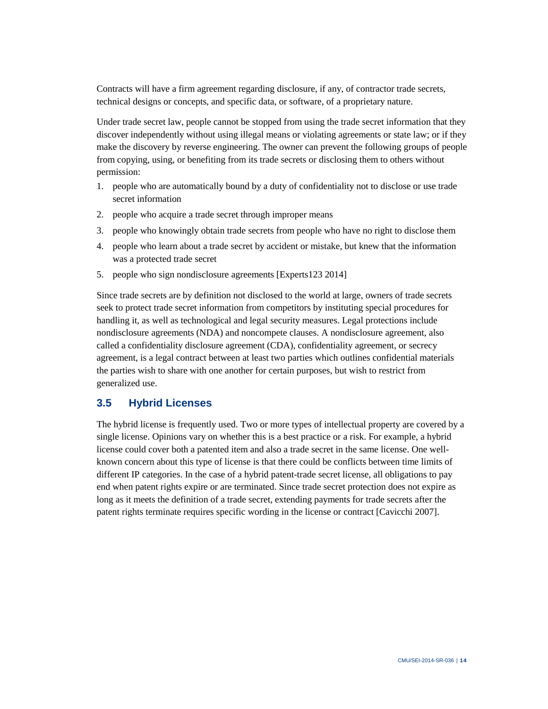Contracts will have a firm agreement regarding disclosure, if any, of contractor trade secrets, technical designs or concepts, and specific data, or software, of a proprietary nature.

Under trade secret law, people cannot be stopped from using the trade secret information that they discover independently without using illegal means or violating agreements or state law; or if they make the discovery by reverse engineering. The owner can prevent the following groups of people from copying, using, or benefiting from its trade secrets or disclosing them to others without permission:

- 1. people who are automatically bound by a duty of confidentiality not to disclose or use trade secret information
- 2. people who acquire a trade secret through improper means
- 3. people who knowingly obtain trade secrets from people who have no right to disclose them
- 4. people who learn about a trade secret by accident or mistake, but knew that the information was a protected trade secret
- 5. people who sign nondisclosure agreements [Experts123 2014]

Since trade secrets are by definition not disclosed to the world at large, owners of trade secrets seek to protect trade secret information from competitors by instituting special procedures for handling it, as well as technological and legal security measures. Legal protections include nondisclosure agreements (NDA) and noncompete clauses. A nondisclosure agreement, also called a confidentiality disclosure agreement (CDA), confidentiality agreement, or secrecy agreement, is a legal contract between at least two parties which outlines confidential materials the parties wish to share with one another for certain purposes, but wish to restrict from generalized use.

#### **3.5 Hybrid Licenses**

The hybrid license is frequently used. Two or more types of intellectual property are covered by a single license. Opinions vary on whether this is a best practice or a risk. For example, a hybrid license could cover both a patented item and also a trade secret in the same license. One wellknown concern about this type of license is that there could be conflicts between time limits of different IP categories. In the case of a hybrid patent-trade secret license, all obligations to pay end when patent rights expire or are terminated. Since trade secret protection does not expire as long as it meets the definition of a trade secret, extending payments for trade secrets after the patent rights terminate requires specific wording in the license or contract [Cavicchi 2007].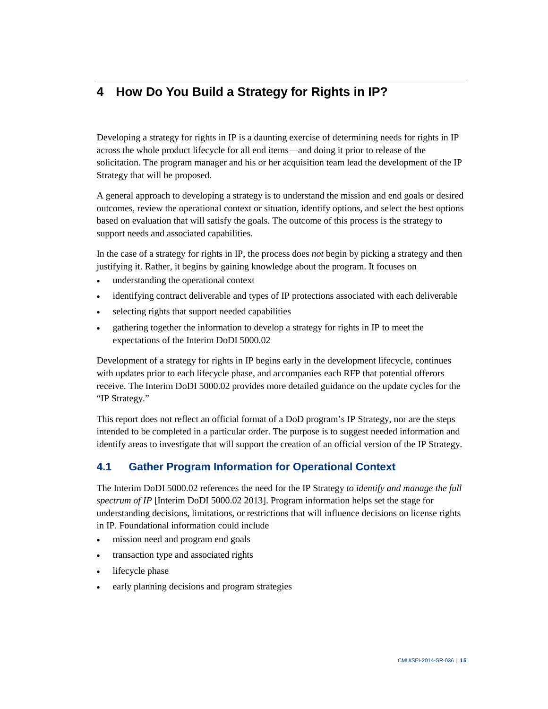## **4 How Do You Build a Strategy for Rights in IP?**

Developing a strategy for rights in IP is a daunting exercise of determining needs for rights in IP across the whole product lifecycle for all end items—and doing it prior to release of the solicitation. The program manager and his or her acquisition team lead the development of the IP Strategy that will be proposed.

A general approach to developing a strategy is to understand the mission and end goals or desired outcomes, review the operational context or situation, identify options, and select the best options based on evaluation that will satisfy the goals. The outcome of this process is the strategy to support needs and associated capabilities.

In the case of a strategy for rights in IP, the process does *not* begin by picking a strategy and then justifying it. Rather, it begins by gaining knowledge about the program. It focuses on

- understanding the operational context
- identifying contract deliverable and types of IP protections associated with each deliverable
- selecting rights that support needed capabilities
- gathering together the information to develop a strategy for rights in IP to meet the expectations of the Interim DoDI 5000.02

Development of a strategy for rights in IP begins early in the development lifecycle, continues with updates prior to each lifecycle phase, and accompanies each RFP that potential offerors receive. The Interim DoDI 5000.02 provides more detailed guidance on the update cycles for the "IP Strategy."

This report does not reflect an official format of a DoD program's IP Strategy, nor are the steps intended to be completed in a particular order. The purpose is to suggest needed information and identify areas to investigate that will support the creation of an official version of the IP Strategy.

#### **4.1 Gather Program Information for Operational Context**

The Interim DoDI 5000.02 references the need for the IP Strategy *to identify and manage the full spectrum of IP* [Interim DoDI 5000.02 2013]. Program information helps set the stage for understanding decisions, limitations, or restrictions that will influence decisions on license rights in IP. Foundational information could include

- mission need and program end goals
- transaction type and associated rights
- lifecycle phase
- early planning decisions and program strategies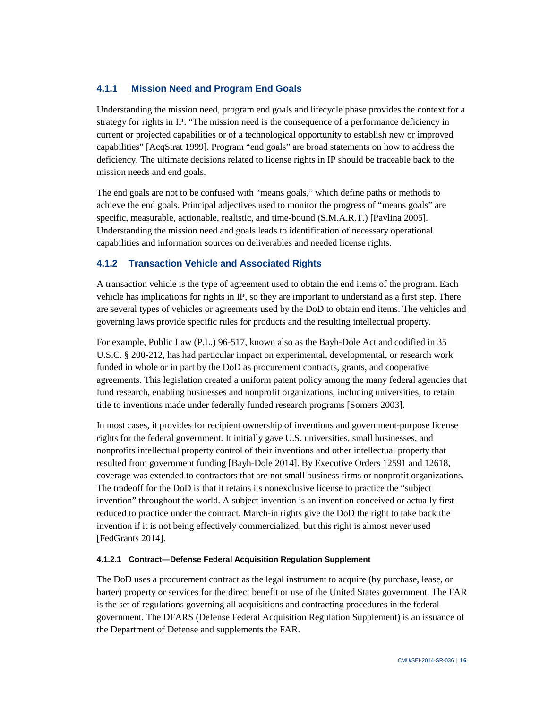#### **4.1.1 Mission Need and Program End Goals**

Understanding the mission need, program end goals and lifecycle phase provides the context for a strategy for rights in IP. "The mission need is the consequence of a performance deficiency in current or projected capabilities or of a technological opportunity to establish new or improved capabilities" [AcqStrat 1999]. Program "end goals" are broad statements on how to address the deficiency. The ultimate decisions related to license rights in IP should be traceable back to the mission needs and end goals.

The end goals are not to be confused with "means goals," which define paths or methods to achieve the end goals. Principal adjectives used to monitor the progress of "means goals" are specific, measurable, actionable, realistic, and time-bound (S.M.A.R.T.) [Pavlina 2005]. Understanding the mission need and goals leads to identification of necessary operational capabilities and information sources on deliverables and needed license rights.

#### **4.1.2 Transaction Vehicle and Associated Rights**

A transaction vehicle is the type of agreement used to obtain the end items of the program. Each vehicle has implications for rights in IP, so they are important to understand as a first step. There are several types of vehicles or agreements used by the DoD to obtain end items. The vehicles and governing laws provide specific rules for products and the resulting intellectual property.

For example, Public Law (P.L.) 96-517, known also as the Bayh-Dole Act and codified in 35 U.S.C. § 200-212, has had particular impact on experimental, developmental, or research work funded in whole or in part by the DoD as procurement contracts, grants, and cooperative agreements. This legislation created a uniform patent policy among the many federal agencies that fund research, enabling businesses and nonprofit organizations, including universities, to retain title to inventions made under federally funded research programs [Somers 2003].

In most cases, it provides for recipient ownership of inventions and government-purpose license rights for the federal government. It initially gave U.S. universities, small businesses, and nonprofits intellectual property control of their inventions and other intellectual property that resulted from government funding [Bayh-Dole 2014]. By Executive Orders 12591 and 12618, coverage was extended to contractors that are not small business firms or nonprofit organizations. The tradeoff for the DoD is that it retains its nonexclusive license to practice the "subject invention" throughout the world. A subject invention is an invention conceived or actually first reduced to practice under the contract. March-in rights give the DoD the right to take back the invention if it is not being effectively commercialized, but this right is almost never used [FedGrants 2014].

#### **4.1.2.1 Contract—Defense Federal Acquisition Regulation Supplement**

The DoD uses a procurement contract as the legal instrument to acquire (by purchase, lease, or barter) property or services for the direct benefit or use of the United States government. The FAR is the set of regulations governing all acquisitions and contracting procedures in the federal government. The DFARS (Defense Federal Acquisition Regulation Supplement) is an issuance of the Department of Defense and supplements the FAR.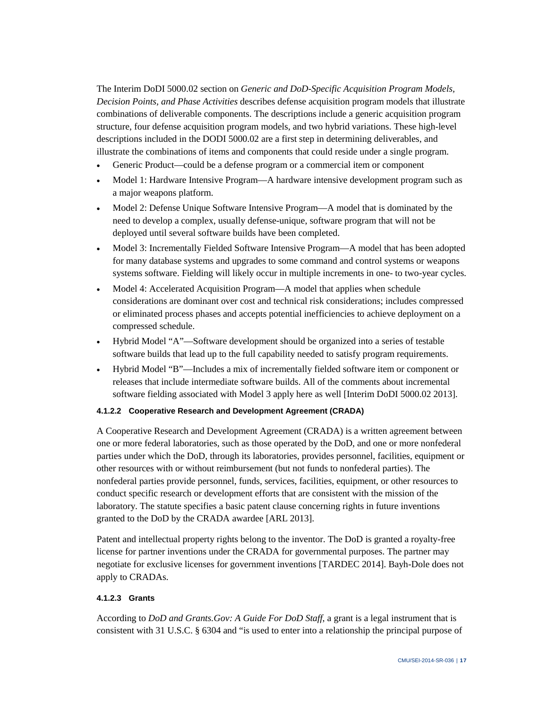The Interim DoDI 5000.02 section on *Generic and DoD-Specific Acquisition Program Models, Decision Points, and Phase Activities* describes defense acquisition program models that illustrate combinations of deliverable components. The descriptions include a generic acquisition program structure, four defense acquisition program models, and two hybrid variations. These high-level descriptions included in the DODI 5000.02 are a first step in determining deliverables, and illustrate the combinations of items and components that could reside under a single program.

- Generic Product—could be a defense program or a commercial item or component
- Model 1: Hardware Intensive Program—A hardware intensive development program such as a major weapons platform.
- Model 2: Defense Unique Software Intensive Program—A model that is dominated by the need to develop a complex, usually defense-unique, software program that will not be deployed until several software builds have been completed.
- Model 3: Incrementally Fielded Software Intensive Program—A model that has been adopted for many database systems and upgrades to some command and control systems or weapons systems software. Fielding will likely occur in multiple increments in one- to two-year cycles.
- Model 4: Accelerated Acquisition Program—A model that applies when schedule considerations are dominant over cost and technical risk considerations; includes compressed or eliminated process phases and accepts potential inefficiencies to achieve deployment on a compressed schedule.
- Hybrid Model "A"—Software development should be organized into a series of testable software builds that lead up to the full capability needed to satisfy program requirements.
- Hybrid Model "B"—Includes a mix of incrementally fielded software item or component or releases that include intermediate software builds. All of the comments about incremental software fielding associated with Model 3 apply here as well [Interim DoDI 5000.02 2013].

#### **4.1.2.2 Cooperative Research and Development Agreement (CRADA)**

A Cooperative Research and Development Agreement (CRADA) is a written agreement between one or more federal laboratories, such as those operated by the DoD, and one or more nonfederal parties under which the DoD, through its laboratories, provides personnel, facilities, equipment or other resources with or without reimbursement (but not funds to nonfederal parties). The nonfederal parties provide personnel, funds, services, facilities, equipment, or other resources to conduct specific research or development efforts that are consistent with the mission of the laboratory. The statute specifies a basic patent clause concerning rights in future inventions granted to the DoD by the CRADA awardee [ARL 2013].

Patent and intellectual property rights belong to the inventor. The DoD is granted a royalty-free license for partner inventions under the CRADA for governmental purposes. The partner may negotiate for exclusive licenses for government inventions [TARDEC 2014]. Bayh-Dole does not apply to CRADAs.

#### **4.1.2.3 Grants**

According to *DoD and Grants.Gov: A Guide For DoD Staff*, a grant is a legal instrument that is consistent with 31 U.S.C. § 6304 and "is used to enter into a relationship the principal purpose of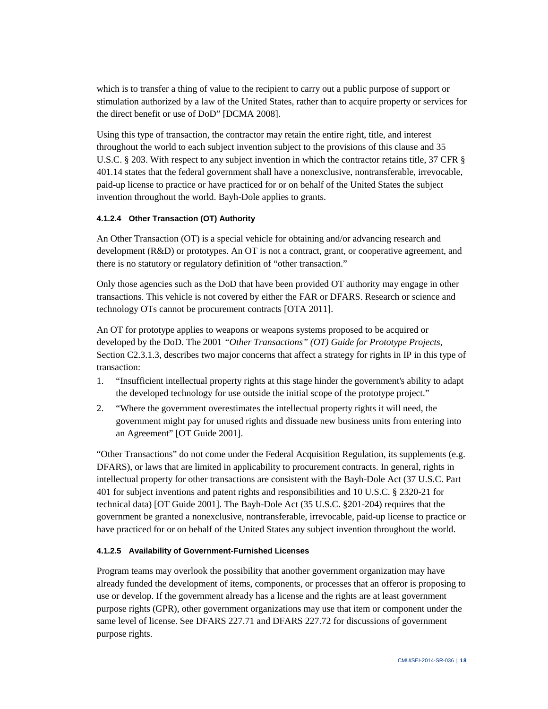which is to transfer a thing of value to the recipient to carry out a public purpose of support or stimulation authorized by a law of the United States, rather than to acquire property or services for the direct benefit or use of DoD" [DCMA 2008].

Using this type of transaction, the contractor may retain the entire right, title, and interest throughout the world to each subject invention subject to the provisions of this clause and 35 U.S.C. § 203. With respect to any subject invention in which the contractor retains title, 37 CFR § 401.14 states that the federal government shall have a nonexclusive, nontransferable, irrevocable, paid-up license to practice or have practiced for or on behalf of the United States the subject invention throughout the world. Bayh-Dole applies to grants.

#### **4.1.2.4 Other Transaction (OT) Authority**

An Other Transaction (OT) is a special vehicle for obtaining and/or advancing research and development (R&D) or prototypes. An OT is not a contract, grant, or cooperative agreement, and there is no statutory or regulatory definition of "other transaction."

Only those agencies such as the DoD that have been provided OT authority may engage in other transactions. This vehicle is not covered by either the FAR or DFARS. Research or science and technology OTs cannot be procurement contracts [OTA 2011].

An OT for prototype applies to weapons or weapons systems proposed to be acquired or developed by the DoD. The 2001 *"Other Transactions" (OT) Guide for Prototype Projects*, Section C2.3.1.3, describes two major concerns that affect a strategy for rights in IP in this type of transaction:

- 1. "Insufficient intellectual property rights at this stage hinder the government's ability to adapt the developed technology for use outside the initial scope of the prototype project."
- 2. "Where the government overestimates the intellectual property rights it will need, the government might pay for unused rights and dissuade new business units from entering into an Agreement" [OT Guide 2001].

"Other Transactions" do not come under the Federal Acquisition Regulation, its supplements (e.g. DFARS), or laws that are limited in applicability to procurement contracts. In general, rights in intellectual property for other transactions are consistent with the Bayh-Dole Act (37 U.S.C. Part 401 for subject inventions and patent rights and responsibilities and 10 U.S.C. § 2320-21 for technical data) [OT Guide 2001]. The Bayh-Dole Act (35 U.S.C. §201-204) requires that the government be granted a nonexclusive, nontransferable, irrevocable, paid-up license to practice or have practiced for or on behalf of the United States any subject invention throughout the world.

#### **4.1.2.5 Availability of Government-Furnished Licenses**

Program teams may overlook the possibility that another government organization may have already funded the development of items, components, or processes that an offeror is proposing to use or develop. If the government already has a license and the rights are at least government purpose rights (GPR), other government organizations may use that item or component under the same level of license. See DFARS 227.71 and DFARS 227.72 for discussions of government purpose rights.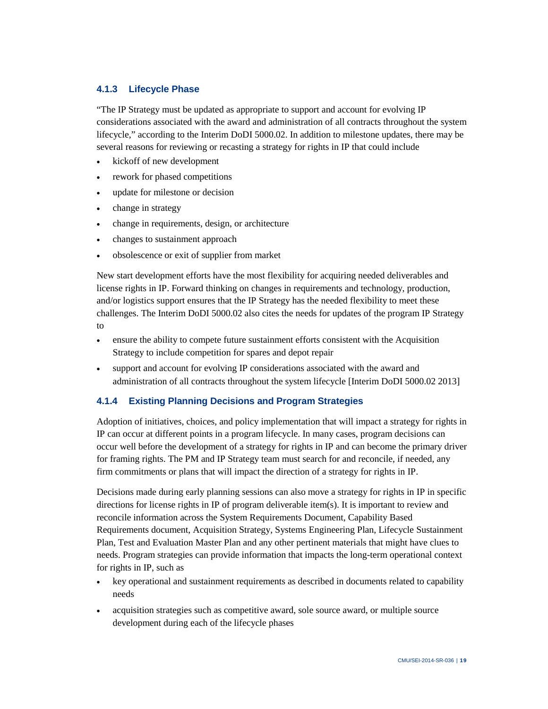#### **4.1.3 Lifecycle Phase**

"The IP Strategy must be updated as appropriate to support and account for evolving IP considerations associated with the award and administration of all contracts throughout the system lifecycle," according to the Interim DoDI 5000.02. In addition to milestone updates, there may be several reasons for reviewing or recasting a strategy for rights in IP that could include

- kickoff of new development
- rework for phased competitions
- update for milestone or decision
- change in strategy
- change in requirements, design, or architecture
- changes to sustainment approach
- obsolescence or exit of supplier from market

New start development efforts have the most flexibility for acquiring needed deliverables and license rights in IP. Forward thinking on changes in requirements and technology, production, and/or logistics support ensures that the IP Strategy has the needed flexibility to meet these challenges. The Interim DoDI 5000.02 also cites the needs for updates of the program IP Strategy to

- ensure the ability to compete future sustainment efforts consistent with the Acquisition Strategy to include competition for spares and depot repair
- support and account for evolving IP considerations associated with the award and administration of all contracts throughout the system lifecycle [Interim DoDI 5000.02 2013]

#### **4.1.4 Existing Planning Decisions and Program Strategies**

Adoption of initiatives, choices, and policy implementation that will impact a strategy for rights in IP can occur at different points in a program lifecycle. In many cases, program decisions can occur well before the development of a strategy for rights in IP and can become the primary driver for framing rights. The PM and IP Strategy team must search for and reconcile, if needed, any firm commitments or plans that will impact the direction of a strategy for rights in IP.

Decisions made during early planning sessions can also move a strategy for rights in IP in specific directions for license rights in IP of program deliverable item(s). It is important to review and reconcile information across the System Requirements Document, Capability Based Requirements document, Acquisition Strategy, Systems Engineering Plan, Lifecycle Sustainment Plan, Test and Evaluation Master Plan and any other pertinent materials that might have clues to needs. Program strategies can provide information that impacts the long-term operational context for rights in IP, such as

- key operational and sustainment requirements as described in documents related to capability needs
- acquisition strategies such as competitive award, sole source award, or multiple source development during each of the lifecycle phases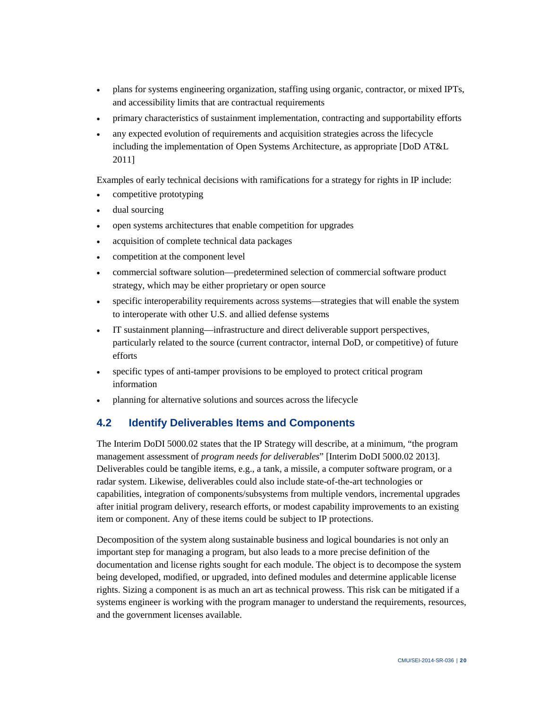- plans for systems engineering organization, staffing using organic, contractor, or mixed IPTs, and accessibility limits that are contractual requirements
- primary characteristics of sustainment implementation, contracting and supportability efforts
- any expected evolution of requirements and acquisition strategies across the lifecycle including the implementation of Open Systems Architecture, as appropriate [DoD AT&L 2011]

Examples of early technical decisions with ramifications for a strategy for rights in IP include:

- competitive prototyping
- dual sourcing
- open systems architectures that enable competition for upgrades
- acquisition of complete technical data packages
- competition at the component level
- commercial software solution—predetermined selection of commercial software product strategy, which may be either proprietary or open source
- specific interoperability requirements across systems—strategies that will enable the system to interoperate with other U.S. and allied defense systems
- IT sustainment planning—infrastructure and direct deliverable support perspectives, particularly related to the source (current contractor, internal DoD, or competitive) of future efforts
- specific types of anti-tamper provisions to be employed to protect critical program information
- planning for alternative solutions and sources across the lifecycle

#### **4.2 Identify Deliverables Items and Components**

The Interim DoDI 5000.02 states that the IP Strategy will describe, at a minimum, "the program management assessment of *program needs for deliverables*" [Interim DoDI 5000.02 2013]. Deliverables could be tangible items, e.g., a tank, a missile, a computer software program, or a radar system. Likewise, deliverables could also include state-of-the-art technologies or capabilities, integration of components/subsystems from multiple vendors, incremental upgrades after initial program delivery, research efforts, or modest capability improvements to an existing item or component. Any of these items could be subject to IP protections.

Decomposition of the system along sustainable business and logical boundaries is not only an important step for managing a program, but also leads to a more precise definition of the documentation and license rights sought for each module. The object is to decompose the system being developed, modified, or upgraded, into defined modules and determine applicable license rights. Sizing a component is as much an art as technical prowess. This risk can be mitigated if a systems engineer is working with the program manager to understand the requirements, resources, and the government licenses available.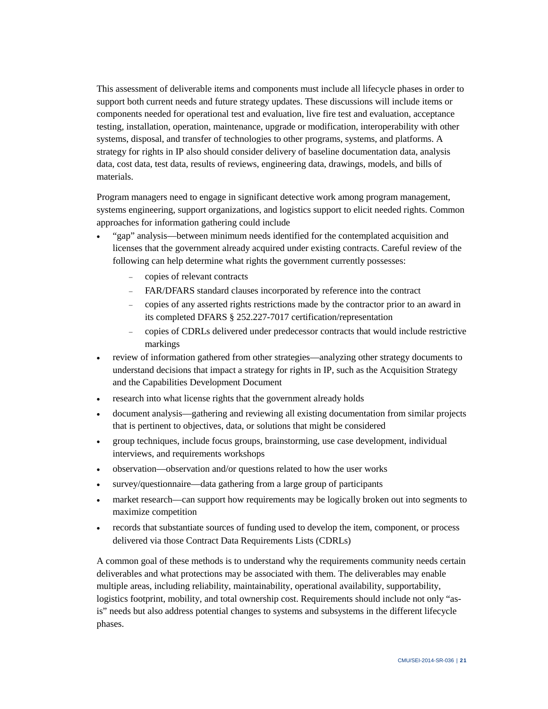This assessment of deliverable items and components must include all lifecycle phases in order to support both current needs and future strategy updates. These discussions will include items or components needed for operational test and evaluation, live fire test and evaluation, acceptance testing, installation, operation, maintenance, upgrade or modification, interoperability with other systems, disposal, and transfer of technologies to other programs, systems, and platforms. A strategy for rights in IP also should consider delivery of baseline documentation data, analysis data, cost data, test data, results of reviews, engineering data, drawings, models, and bills of materials.

Program managers need to engage in significant detective work among program management, systems engineering, support organizations, and logistics support to elicit needed rights. Common approaches for information gathering could include

- "gap" analysis—between minimum needs identified for the contemplated acquisition and licenses that the government already acquired under existing contracts. Careful review of the following can help determine what rights the government currently possesses:
	- copies of relevant contracts
	- FAR/DFARS standard clauses incorporated by reference into the contract
	- copies of any asserted rights restrictions made by the contractor prior to an award in its completed DFARS § 252.227-7017 certification/representation
	- copies of CDRLs delivered under predecessor contracts that would include restrictive markings
- review of information gathered from other strategies—analyzing other strategy documents to understand decisions that impact a strategy for rights in IP, such as the Acquisition Strategy and the Capabilities Development Document
- research into what license rights that the government already holds
- document analysis—gathering and reviewing all existing documentation from similar projects that is pertinent to objectives, data, or solutions that might be considered
- group techniques, include focus groups, brainstorming, use case development, individual interviews, and requirements workshops
- observation—observation and/or questions related to how the user works
- survey/questionnaire—data gathering from a large group of participants
- market research—can support how requirements may be logically broken out into segments to maximize competition
- records that substantiate sources of funding used to develop the item, component, or process delivered via those Contract Data Requirements Lists (CDRLs)

A common goal of these methods is to understand why the requirements community needs certain deliverables and what protections may be associated with them. The deliverables may enable multiple areas, including reliability, maintainability, operational availability, supportability, logistics footprint, mobility, and total ownership cost. Requirements should include not only "asis" needs but also address potential changes to systems and subsystems in the different lifecycle phases.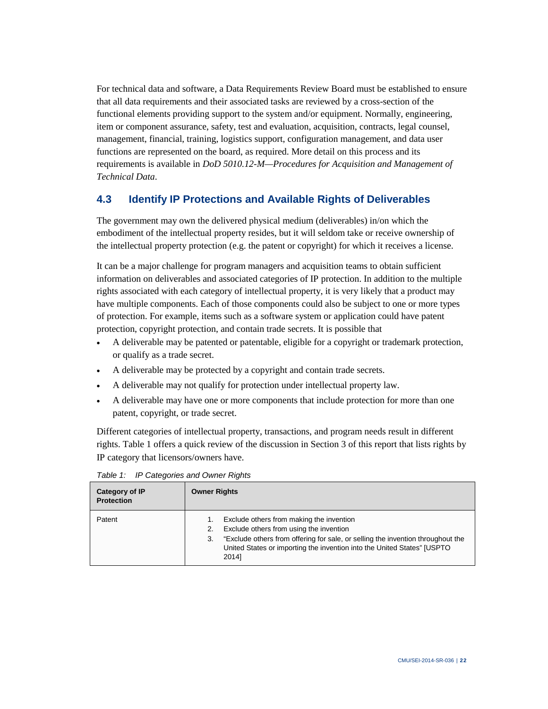For technical data and software, a Data Requirements Review Board must be established to ensure that all data requirements and their associated tasks are reviewed by a cross-section of the functional elements providing support to the system and/or equipment. Normally, engineering, item or component assurance, safety, test and evaluation, acquisition, contracts, legal counsel, management, financial, training, logistics support, configuration management, and data user functions are represented on the board, as required. More detail on this process and its requirements is available in *DoD 5010.12-M—Procedures for Acquisition and Management of Technical Data*.

#### **4.3 Identify IP Protections and Available Rights of Deliverables**

The government may own the delivered physical medium (deliverables) in/on which the embodiment of the intellectual property resides, but it will seldom take or receive ownership of the intellectual property protection (e.g. the patent or copyright) for which it receives a license.

It can be a major challenge for program managers and acquisition teams to obtain sufficient information on deliverables and associated categories of IP protection. In addition to the multiple rights associated with each category of intellectual property, it is very likely that a product may have multiple components. Each of those components could also be subject to one or more types of protection. For example, items such as a software system or application could have patent protection, copyright protection, and contain trade secrets. It is possible that

- A deliverable may be patented or patentable, eligible for a copyright or trademark protection, or qualify as a trade secret.
- A deliverable may be protected by a copyright and contain trade secrets.
- A deliverable may not qualify for protection under intellectual property law.
- A deliverable may have one or more components that include protection for more than one patent, copyright, or trade secret.

Different categories of intellectual property, transactions, and program needs result in different rights. Table 1 offers a quick review of the discussion in Section 3 of this report that lists rights by IP category that licensors/owners have.

| Category of IP<br><b>Protection</b> | <b>Owner Rights</b>                                                                                                                                                                                                                                                    |  |  |  |
|-------------------------------------|------------------------------------------------------------------------------------------------------------------------------------------------------------------------------------------------------------------------------------------------------------------------|--|--|--|
| Patent                              | Exclude others from making the invention<br>Exclude others from using the invention<br>2.<br>"Exclude others from offering for sale, or selling the invention throughout the<br>3.<br>United States or importing the invention into the United States" [USPTO<br>2014] |  |  |  |

*Table 1: IP Categories and Owner Rights*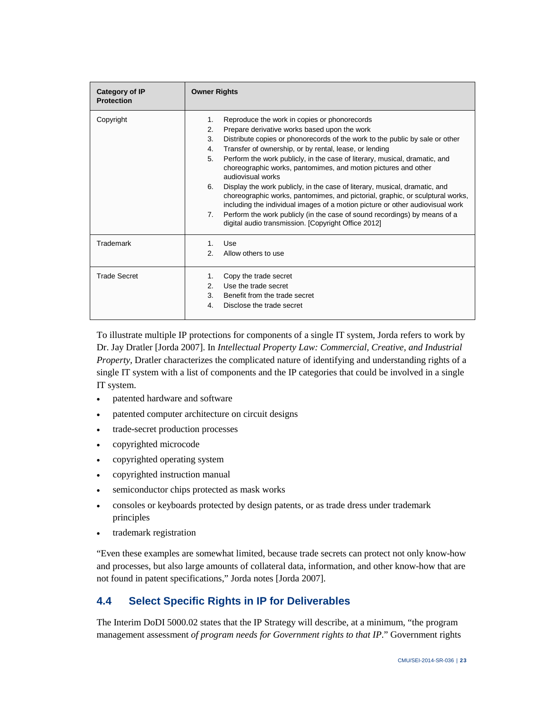| Category of IP<br><b>Protection</b> | <b>Owner Rights</b>                                                                                                                                                                                                                                                                                                                                                                                                        |  |  |  |
|-------------------------------------|----------------------------------------------------------------------------------------------------------------------------------------------------------------------------------------------------------------------------------------------------------------------------------------------------------------------------------------------------------------------------------------------------------------------------|--|--|--|
| Copyright                           | Reproduce the work in copies or phonorecords<br>1.<br>2.<br>Prepare derivative works based upon the work<br>Distribute copies or phonorecords of the work to the public by sale or other<br>3.<br>Transfer of ownership, or by rental, lease, or lending<br>4.<br>5.<br>Perform the work publicly, in the case of literary, musical, dramatic, and<br>choreographic works, pantomimes, and motion pictures and other       |  |  |  |
|                                     | audiovisual works<br>6.<br>Display the work publicly, in the case of literary, musical, dramatic, and<br>choreographic works, pantomimes, and pictorial, graphic, or sculptural works,<br>including the individual images of a motion picture or other audiovisual work<br>Perform the work publicly (in the case of sound recordings) by means of a<br>$7_{\cdot}$<br>digital audio transmission. [Copyright Office 2012] |  |  |  |
| Trademark                           | Use<br>$1_{-}$<br>2 <sub>1</sub><br>Allow others to use                                                                                                                                                                                                                                                                                                                                                                    |  |  |  |
| <b>Trade Secret</b>                 | Copy the trade secret<br>1.<br>Use the trade secret<br>2.<br>Benefit from the trade secret<br>3 <sub>1</sub><br>Disclose the trade secret<br>4.                                                                                                                                                                                                                                                                            |  |  |  |

To illustrate multiple IP protections for components of a single IT system, Jorda refers to work by Dr. Jay Dratler [Jorda 2007]. In *Intellectual Property Law: Commercial, Creative, and Industrial Property,* Dratler characterizes the complicated nature of identifying and understanding rights of a single IT system with a list of components and the IP categories that could be involved in a single IT system.

- patented hardware and software
- patented computer architecture on circuit designs
- trade-secret production processes
- copyrighted microcode
- copyrighted operating system
- copyrighted instruction manual
- semiconductor chips protected as mask works
- consoles or keyboards protected by design patents, or as trade dress under trademark principles
- trademark registration

"Even these examples are somewhat limited, because trade secrets can protect not only know-how and processes, but also large amounts of collateral data, information, and other know-how that are not found in patent specifications," Jorda notes [Jorda 2007].

#### **4.4 Select Specific Rights in IP for Deliverables**

The Interim DoDI 5000.02 states that the IP Strategy will describe, at a minimum, "the program management assessment *of program needs for Government rights to that IP*." Government rights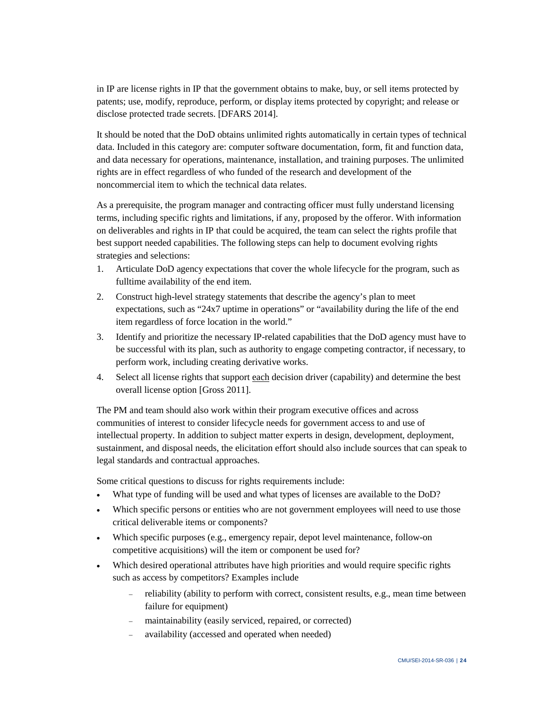in IP are license rights in IP that the government obtains to make, buy, or sell items protected by patents; use, modify, reproduce, perform, or display items protected by copyright; and release or disclose protected trade secrets. [DFARS 2014].

It should be noted that the DoD obtains unlimited rights automatically in certain types of technical data. Included in this category are: computer software documentation, form, fit and function data, and data necessary for operations, maintenance, installation, and training purposes. The unlimited rights are in effect regardless of who funded of the research and development of the noncommercial item to which the technical data relates.

As a prerequisite, the program manager and contracting officer must fully understand licensing terms, including specific rights and limitations, if any, proposed by the offeror. With information on deliverables and rights in IP that could be acquired, the team can select the rights profile that best support needed capabilities. The following steps can help to document evolving rights strategies and selections:

- 1. Articulate DoD agency expectations that cover the whole lifecycle for the program, such as fulltime availability of the end item.
- 2. Construct high-level strategy statements that describe the agency's plan to meet expectations, such as "24x7 uptime in operations" or "availability during the life of the end item regardless of force location in the world."
- 3. Identify and prioritize the necessary IP-related capabilities that the DoD agency must have to be successful with its plan, such as authority to engage competing contractor, if necessary, to perform work, including creating derivative works.
- 4. Select all license rights that support each decision driver (capability) and determine the best overall license option [Gross 2011].

The PM and team should also work within their program executive offices and across communities of interest to consider lifecycle needs for government access to and use of intellectual property. In addition to subject matter experts in design, development, deployment, sustainment, and disposal needs, the elicitation effort should also include sources that can speak to legal standards and contractual approaches.

Some critical questions to discuss for rights requirements include:

- What type of funding will be used and what types of licenses are available to the DoD?
- Which specific persons or entities who are not government employees will need to use those critical deliverable items or components?
- Which specific purposes (e.g., emergency repair, depot level maintenance, follow-on competitive acquisitions) will the item or component be used for?
- Which desired operational attributes have high priorities and would require specific rights such as access by competitors? Examples include
	- reliability (ability to perform with correct, consistent results, e.g., mean time between failure for equipment)
	- maintainability (easily serviced, repaired, or corrected)
	- availability (accessed and operated when needed)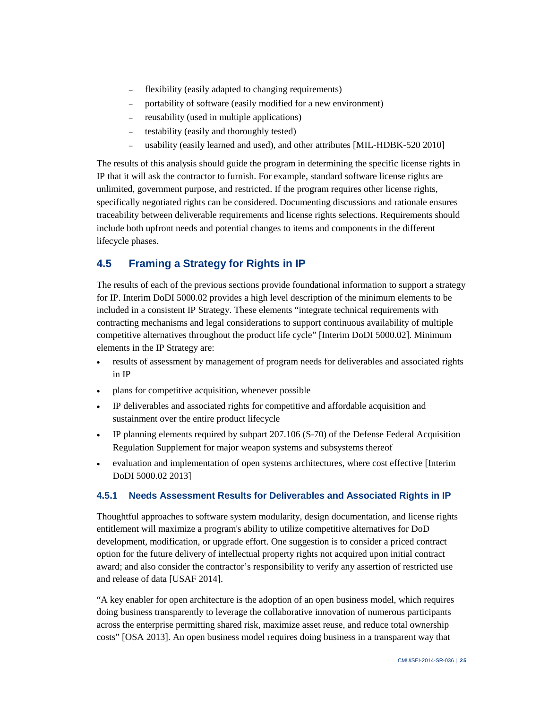- flexibility (easily adapted to changing requirements)
- portability of software (easily modified for a new environment)
- reusability (used in multiple applications)
- testability (easily and thoroughly tested)
- usability (easily learned and used), and other attributes [MIL-HDBK-520 2010]

The results of this analysis should guide the program in determining the specific license rights in IP that it will ask the contractor to furnish. For example, standard software license rights are unlimited, government purpose, and restricted. If the program requires other license rights, specifically negotiated rights can be considered. Documenting discussions and rationale ensures traceability between deliverable requirements and license rights selections. Requirements should include both upfront needs and potential changes to items and components in the different lifecycle phases.

#### **4.5 Framing a Strategy for Rights in IP**

The results of each of the previous sections provide foundational information to support a strategy for IP. Interim DoDI 5000.02 provides a high level description of the minimum elements to be included in a consistent IP Strategy. These elements "integrate technical requirements with contracting mechanisms and legal considerations to support continuous availability of multiple competitive alternatives throughout the product life cycle" [Interim DoDI 5000.02]. Minimum elements in the IP Strategy are:

- results of assessment by management of program needs for deliverables and associated rights in IP
- plans for competitive acquisition, whenever possible
- IP deliverables and associated rights for competitive and affordable acquisition and sustainment over the entire product lifecycle
- IP planning elements required by subpart 207.106 (S-70) of the Defense Federal Acquisition Regulation Supplement for major weapon systems and subsystems thereof
- evaluation and implementation of open systems architectures, where cost effective [Interim DoDI 5000.02 2013]

#### **4.5.1 Needs Assessment Results for Deliverables and Associated Rights in IP**

Thoughtful approaches to software system modularity, design documentation, and license rights entitlement will maximize a program's ability to utilize competitive alternatives for DoD development, modification, or upgrade effort. One suggestion is to consider a priced contract option for the future delivery of intellectual property rights not acquired upon initial contract award; and also consider the contractor's responsibility to verify any assertion of restricted use and release of data [USAF 2014].

"A key enabler for open architecture is the adoption of an open business model, which requires doing business transparently to leverage the collaborative innovation of numerous participants across the enterprise permitting shared risk, maximize asset reuse, and reduce total ownership costs" [OSA 2013]. An open business model requires doing business in a transparent way that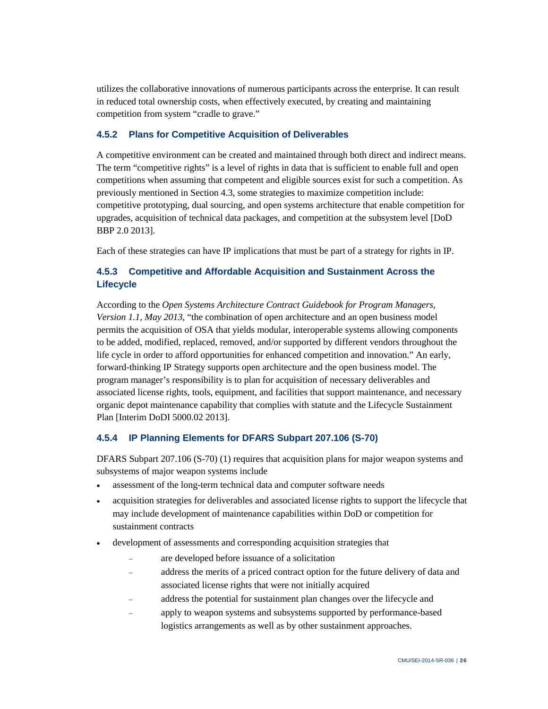utilizes the collaborative innovations of numerous participants across the enterprise. It can result in reduced total ownership costs, when effectively executed, by creating and maintaining competition from system "cradle to grave."

#### **4.5.2 Plans for Competitive Acquisition of Deliverables**

A competitive environment can be created and maintained through both direct and indirect means. The term "competitive rights" is a level of rights in data that is sufficient to enable full and open competitions when assuming that competent and eligible sources exist for such a competition. As previously mentioned in Section 4.3, some strategies to maximize competition include: competitive prototyping, dual sourcing, and open systems architecture that enable competition for upgrades, acquisition of technical data packages, and competition at the subsystem level [DoD BBP 2.0 2013].

Each of these strategies can have IP implications that must be part of a strategy for rights in IP.

#### **4.5.3 Competitive and Affordable Acquisition and Sustainment Across the Lifecycle**

According to the *Open Systems Architecture Contract Guidebook for Program Managers, Version 1.1, May 2013*, "the combination of open architecture and an open business model permits the acquisition of OSA that yields modular, interoperable systems allowing components to be added, modified, replaced, removed, and/or supported by different vendors throughout the life cycle in order to afford opportunities for enhanced competition and innovation." An early, forward-thinking IP Strategy supports open architecture and the open business model. The program manager's responsibility is to plan for acquisition of necessary deliverables and associated license rights, tools, equipment, and facilities that support maintenance, and necessary organic depot maintenance capability that complies with statute and the Lifecycle Sustainment Plan [Interim DoDI 5000.02 2013].

#### **4.5.4 IP Planning Elements for DFARS Subpart 207.106 (S-70)**

DFARS Subpart 207.106 (S-70) (1) requires that acquisition plans for major weapon systems and subsystems of major weapon systems include

- assessment of the long-term technical data and computer software needs
- acquisition strategies for deliverables and associated license rights to support the lifecycle that may include development of maintenance capabilities within DoD or competition for sustainment contracts
- development of assessments and corresponding acquisition strategies that
	- are developed before issuance of a solicitation
	- address the merits of a priced contract option for the future delivery of data and associated license rights that were not initially acquired
	- address the potential for sustainment plan changes over the lifecycle and
	- apply to weapon systems and subsystems supported by performance-based logistics arrangements as well as by other sustainment approaches.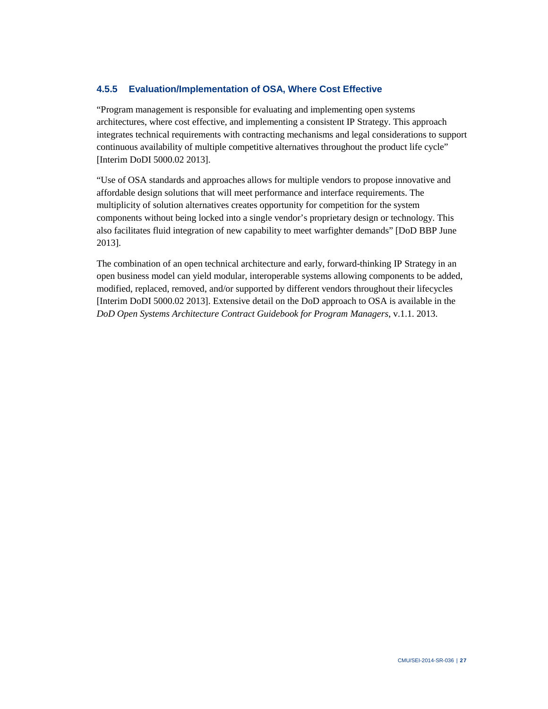#### **4.5.5 Evaluation/Implementation of OSA, Where Cost Effective**

"Program management is responsible for evaluating and implementing open systems architectures, where cost effective, and implementing a consistent IP Strategy. This approach integrates technical requirements with contracting mechanisms and legal considerations to support continuous availability of multiple competitive alternatives throughout the product life cycle" [Interim DoDI 5000.02 2013].

"Use of OSA standards and approaches allows for multiple vendors to propose innovative and affordable design solutions that will meet performance and interface requirements. The multiplicity of solution alternatives creates opportunity for competition for the system components without being locked into a single vendor's proprietary design or technology. This also facilitates fluid integration of new capability to meet warfighter demands" [DoD BBP June 2013].

The combination of an open technical architecture and early, forward-thinking IP Strategy in an open business model can yield modular, interoperable systems allowing components to be added, modified, replaced, removed, and/or supported by different vendors throughout their lifecycles [Interim DoDI 5000.02 2013]. Extensive detail on the DoD approach to OSA is available in the *DoD Open Systems Architecture Contract Guidebook for Program Managers*, v.1.1. 2013.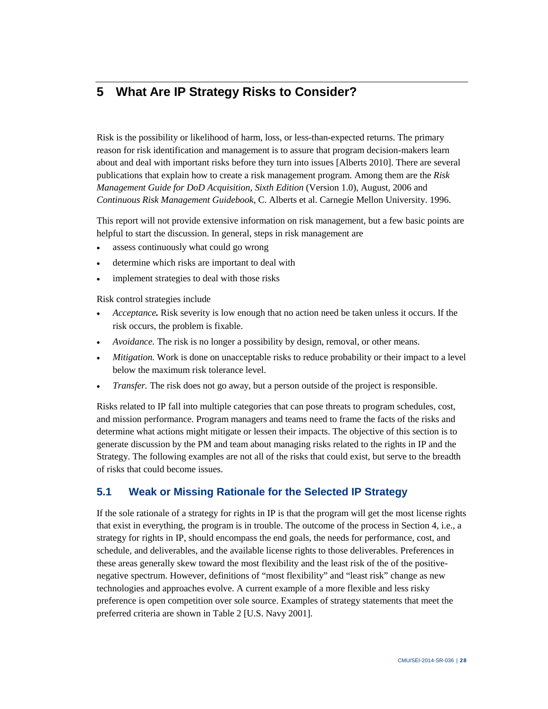## **5 What Are IP Strategy Risks to Consider?**

Risk is the possibility or likelihood of harm, loss, or less-than-expected returns. The primary reason for risk identification and management is to assure that program decision-makers learn about and deal with important risks before they turn into issues [Alberts 2010]. There are several publications that explain how to create a risk management program. Among them are the *Risk Management Guide for DoD Acquisition, Sixth Edition* (Version 1.0), August, 2006 and *Continuous Risk Management Guidebook*, C. Alberts et al. Carnegie Mellon University. 1996.

This report will not provide extensive information on risk management, but a few basic points are helpful to start the discussion. In general, steps in risk management are

- assess continuously what could go wrong
- determine which risks are important to deal with
- implement strategies to deal with those risks

Risk control strategies include

- *Acceptance.* Risk severity is low enough that no action need be taken unless it occurs. If the risk occurs, the problem is fixable.
- *Avoidance.* The risk is no longer a possibility by design, removal, or other means.
- *Mitigation.* Work is done on unacceptable risks to reduce probability or their impact to a level below the maximum risk tolerance level.
- *Transfer.* The risk does not go away, but a person outside of the project is responsible.

Risks related to IP fall into multiple categories that can pose threats to program schedules, cost, and mission performance. Program managers and teams need to frame the facts of the risks and determine what actions might mitigate or lessen their impacts. The objective of this section is to generate discussion by the PM and team about managing risks related to the rights in IP and the Strategy. The following examples are not all of the risks that could exist, but serve to the breadth of risks that could become issues.

#### **5.1 Weak or Missing Rationale for the Selected IP Strategy**

If the sole rationale of a strategy for rights in IP is that the program will get the most license rights that exist in everything, the program is in trouble. The outcome of the process in Section 4, i.e., a strategy for rights in IP, should encompass the end goals, the needs for performance, cost, and schedule, and deliverables, and the available license rights to those deliverables. Preferences in these areas generally skew toward the most flexibility and the least risk of the of the positivenegative spectrum. However, definitions of "most flexibility" and "least risk" change as new technologies and approaches evolve. A current example of a more flexible and less risky preference is open competition over sole source. Examples of strategy statements that meet the preferred criteria are shown in Table 2 [U.S. Navy 2001].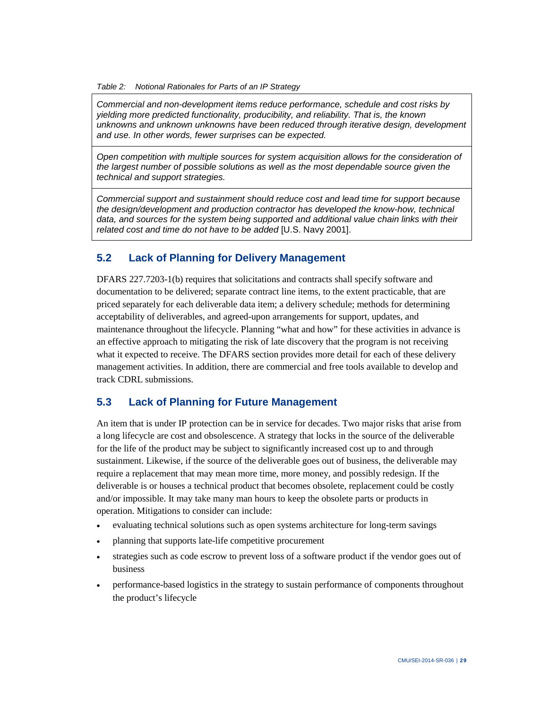*Table 2: Notional Rationales for Parts of an IP Strategy* 

*Commercial and non-development items reduce performance, schedule and cost risks by yielding more predicted functionality, producibility, and reliability. That is, the known unknowns and unknown unknowns have been reduced through iterative design, development and use. In other words, fewer surprises can be expected.* 

*Open competition with multiple sources for system acquisition allows for the consideration of the largest number of possible solutions as well as the most dependable source given the technical and support strategies.* 

*Commercial support and sustainment should reduce cost and lead time for support because the design/development and production contractor has developed the know-how, technical data, and sources for the system being supported and additional value chain links with their related cost and time do not have to be added* [U.S. Navy 2001].

#### **5.2 Lack of Planning for Delivery Management**

DFARS 227.7203-1(b) requires that solicitations and contracts shall specify software and documentation to be delivered; separate contract line items, to the extent practicable, that are priced separately for each deliverable data item; a delivery schedule; methods for determining acceptability of deliverables, and agreed-upon arrangements for support, updates, and maintenance throughout the lifecycle. Planning "what and how" for these activities in advance is an effective approach to mitigating the risk of late discovery that the program is not receiving what it expected to receive. The DFARS section provides more detail for each of these delivery management activities. In addition, there are commercial and free tools available to develop and track CDRL submissions.

#### **5.3 Lack of Planning for Future Management**

An item that is under IP protection can be in service for decades. Two major risks that arise from a long lifecycle are cost and obsolescence. A strategy that locks in the source of the deliverable for the life of the product may be subject to significantly increased cost up to and through sustainment. Likewise, if the source of the deliverable goes out of business, the deliverable may require a replacement that may mean more time, more money, and possibly redesign. If the deliverable is or houses a technical product that becomes obsolete, replacement could be costly and/or impossible. It may take many man hours to keep the obsolete parts or products in operation. Mitigations to consider can include:

- evaluating technical solutions such as open systems architecture for long-term savings
- planning that supports late-life competitive procurement
- strategies such as code escrow to prevent loss of a software product if the vendor goes out of business
- performance-based logistics in the strategy to sustain performance of components throughout the product's lifecycle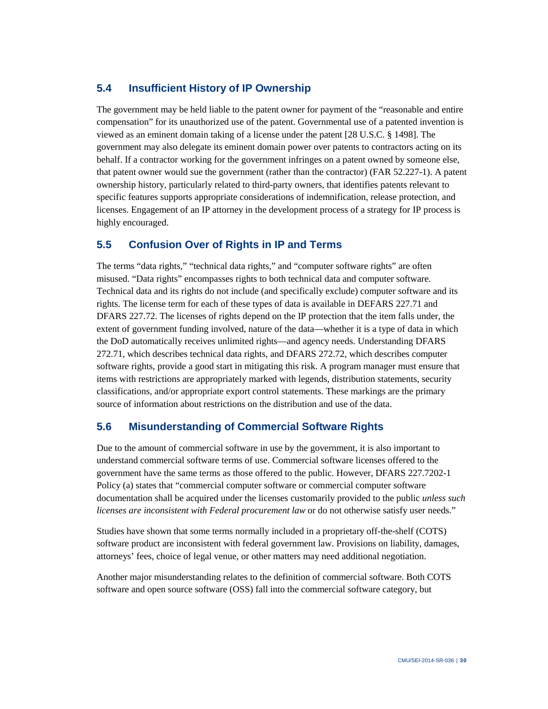#### **5.4 Insufficient History of IP Ownership**

The government may be held liable to the patent owner for payment of the "reasonable and entire compensation" for its unauthorized use of the patent. Governmental use of a patented invention is viewed as an eminent domain taking of a license under the patent [28 U.S.C. § 1498]. The government may also delegate its eminent domain power over patents to contractors acting on its behalf. If a contractor working for the government infringes on a patent owned by someone else, that patent owner would sue the government (rather than the contractor) (FAR 52.227-1). A patent ownership history, particularly related to third-party owners, that identifies patents relevant to specific features supports appropriate considerations of indemnification, release protection, and licenses. Engagement of an IP attorney in the development process of a strategy for IP process is highly encouraged.

#### **5.5 Confusion Over of Rights in IP and Terms**

The terms "data rights," "technical data rights," and "computer software rights" are often misused. "Data rights" encompasses rights to both technical data and computer software. Technical data and its rights do not include (and specifically exclude) computer software and its rights. The license term for each of these types of data is available in DEFARS 227.71 and DFARS 227.72. The licenses of rights depend on the IP protection that the item falls under, the extent of government funding involved, nature of the data—whether it is a type of data in which the DoD automatically receives unlimited rights—and agency needs. Understanding DFARS 272.71, which describes technical data rights, and DFARS 272.72, which describes computer software rights, provide a good start in mitigating this risk. A program manager must ensure that items with restrictions are appropriately marked with legends, distribution statements, security classifications, and/or appropriate export control statements. These markings are the primary source of information about restrictions on the distribution and use of the data.

#### **5.6 Misunderstanding of Commercial Software Rights**

Due to the amount of commercial software in use by the government, it is also important to understand commercial software terms of use. Commercial software licenses offered to the government have the same terms as those offered to the public. However, DFARS 227.7202-1 Policy (a) states that "commercial computer software or commercial computer software documentation shall be acquired under the licenses customarily provided to the public *unless such licenses are inconsistent with Federal procurement law* or do not otherwise satisfy user needs."

Studies have shown that some terms normally included in a proprietary off-the-shelf (COTS) software product are inconsistent with federal government law. Provisions on liability, damages, attorneys' fees, choice of legal venue, or other matters may need additional negotiation.

Another major misunderstanding relates to the definition of commercial software. Both COTS software and open source software (OSS) fall into the commercial software category, but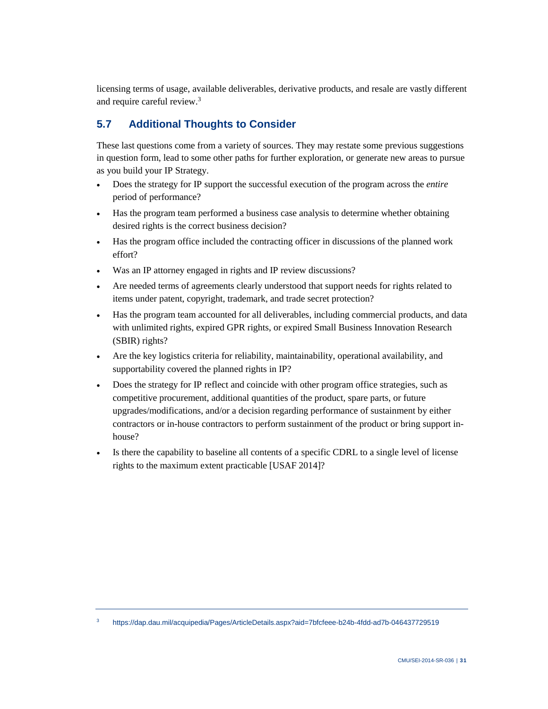licensing terms of usage, available deliverables, derivative products, and resale are vastly different and require careful review.<sup>3</sup>

### **5.7 Additional Thoughts to Consider**

These last questions come from a variety of sources. They may restate some previous suggestions in question form, lead to some other paths for further exploration, or generate new areas to pursue as you build your IP Strategy.

- Does the strategy for IP support the successful execution of the program across the *entire*  period of performance?
- Has the program team performed a business case analysis to determine whether obtaining desired rights is the correct business decision?
- Has the program office included the contracting officer in discussions of the planned work effort?
- Was an IP attorney engaged in rights and IP review discussions?
- Are needed terms of agreements clearly understood that support needs for rights related to items under patent, copyright, trademark, and trade secret protection?
- Has the program team accounted for all deliverables, including commercial products, and data with unlimited rights, expired GPR rights, or expired Small Business Innovation Research (SBIR) rights?
- Are the key logistics criteria for reliability, maintainability, operational availability, and supportability covered the planned rights in IP?
- Does the strategy for IP reflect and coincide with other program office strategies, such as competitive procurement, additional quantities of the product, spare parts, or future upgrades/modifications, and/or a decision regarding performance of sustainment by either contractors or in-house contractors to perform sustainment of the product or bring support inhouse?
- Is there the capability to baseline all contents of a specific CDRL to a single level of license rights to the maximum extent practicable [USAF 2014]?

<sup>3</sup> <https://dap.dau.mil/acquipedia/Pages/ArticleDetails.aspx?aid=7bfcfeee-b24b-4fdd-ad7b-046437729519>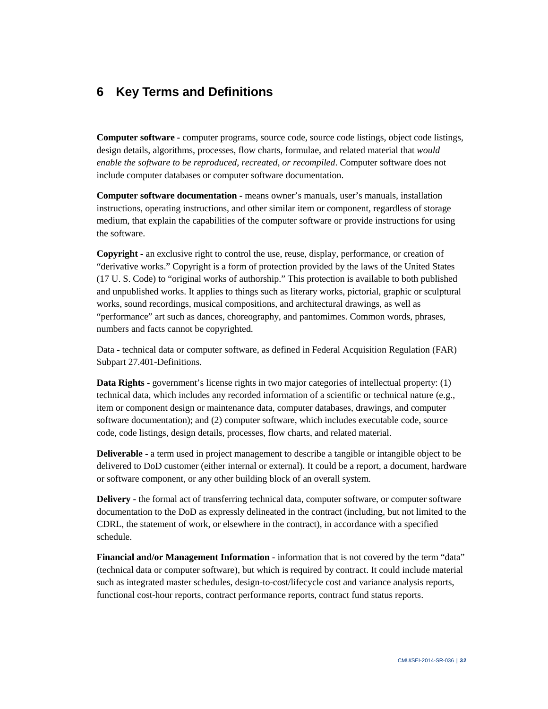## **6 Key Terms and Definitions**

**Computer software -** computer programs, source code, source code listings, object code listings, design details, algorithms, processes, flow charts, formulae, and related material that *would enable the software to be reproduced, recreated, or recompiled*. Computer software does not include computer databases or computer software documentation.

**Computer software documentation - means owner's manuals, user's manuals, installation** instructions, operating instructions, and other similar item or component, regardless of storage medium, that explain the capabilities of the computer software or provide instructions for using the software.

**Copyright -** an exclusive right to control the use, reuse, display, performance, or creation of "derivative works." Copyright is a form of protection provided by the laws of the United States (17 U. S. Code) to "original works of authorship." This protection is available to both published and unpublished works. It applies to things such as literary works, pictorial, graphic or sculptural works, sound recordings, musical compositions, and architectural drawings, as well as "performance" art such as dances, choreography, and pantomimes. Common words, phrases, numbers and facts cannot be copyrighted.

Data - technical data or computer software, as defined in Federal Acquisition Regulation (FAR) Subpart 27.401-Definitions.

**Data Rights -** government's license rights in two major categories of intellectual property: (1) technical data, which includes any recorded information of a scientific or technical nature (e.g., item or component design or maintenance data, computer databases, drawings, and computer software documentation); and (2) computer software, which includes executable code, source code, code listings, design details, processes, flow charts, and related material.

**Deliverable -** a term used in project management to describe a tangible or intangible object to be delivered to DoD customer (either internal or external). It could be a report, a document, hardware or software component, or any other building block of an overall system.

**Delivery -** the formal act of transferring technical data, computer software, or computer software documentation to the DoD as expressly delineated in the contract (including, but not limited to the CDRL, the statement of work, or elsewhere in the contract), in accordance with a specified schedule.

**Financial and/or Management Information -** information that is not covered by the term "data" (technical data or computer software), but which is required by contract. It could include material such as integrated master schedules, design-to-cost/lifecycle cost and variance analysis reports, functional cost-hour reports, contract performance reports, contract fund status reports.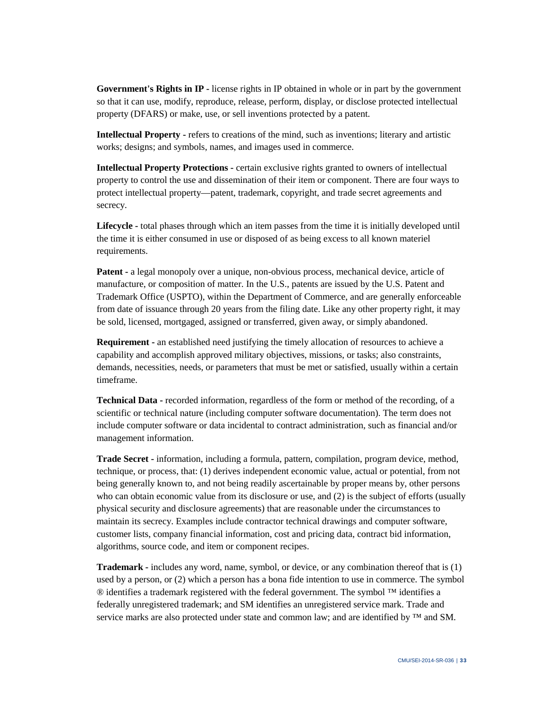**Government's Rights in IP -** license rights in IP obtained in whole or in part by the government so that it can use, modify, reproduce, release, perform, display, or disclose protected intellectual property (DFARS) or make, use, or sell inventions protected by a patent.

**Intellectual Property -** refers to creations of the mind, such as inventions; literary and artistic works; designs; and symbols, names, and images used in commerce.

**Intellectual Property Protections -** certain exclusive rights granted to owners of intellectual property to control the use and dissemination of their item or component. There are four ways to protect intellectual property—patent, trademark, copyright, and trade secret agreements and secrecy.

**Lifecycle -** total phases through which an item passes from the time it is initially developed until the time it is either consumed in use or disposed of as being excess to all known materiel requirements.

**Patent -** a legal monopoly over a unique, non-obvious process, mechanical device, article of manufacture, or composition of matter. In the U.S., patents are issued by the U.S. Patent and Trademark Office (USPTO), within the Department of Commerce, and are generally enforceable from date of issuance through 20 years from the filing date. Like any other property right, it may be sold, licensed, mortgaged, assigned or transferred, given away, or simply abandoned.

**Requirement -** an established need justifying the timely allocation of resources to achieve a capability and accomplish approved military objectives, missions, or tasks; also constraints, demands, necessities, needs, or parameters that must be met or satisfied, usually within a certain timeframe.

**Technical Data -** recorded information, regardless of the form or method of the recording, of a scientific or technical nature (including computer software documentation). The term does not include computer software or data incidental to contract administration, such as financial and/or management information.

**Trade Secret -** information, including a formula, pattern, compilation, program device, method, technique, or process, that: (1) derives independent economic value, actual or potential, from not being generally known to, and not being readily ascertainable by proper means by, other persons who can obtain economic value from its disclosure or use, and (2) is the subject of efforts (usually physical security and disclosure agreements) that are reasonable under the circumstances to maintain its secrecy. Examples include contractor technical drawings and computer software, customer lists, company financial information, cost and pricing data, contract bid information, algorithms, source code, and item or component recipes.

**Trademark -** includes any word, name, symbol, or device, or any combination thereof that is (1) used by a person, or (2) which a person has a bona fide intention to use in commerce. The symbol ® identifies a trademark registered with the federal government. The symbol ™ identifies a federally unregistered trademark; and SM identifies an unregistered service mark. Trade and service marks are also protected under state and common law; and are identified by ™ and SM.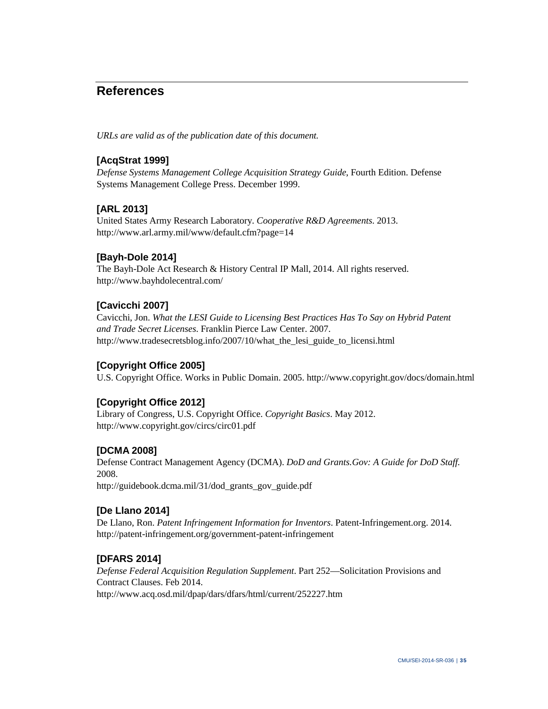### **References**

*URLs are valid as of the publication date of this document.* 

#### **[AcqStrat 1999]**

*Defense Systems Management College Acquisition Strategy Guide*, Fourth Edition. Defense Systems Management College Press. December 1999.

#### **[ARL 2013]**

United States Army Research Laboratory. *Cooperative R&D Agreements*. 2013. <http://www.arl.army.mil/www/default.cfm?page=14>

#### **[Bayh-Dole 2014]**

The Bayh-Dole Act Research & History Central IP Mall, 2014. All rights reserved. <http://www.bayhdolecentral.com/>

#### **[Cavicchi 2007]**

Cavicchi, Jon. *What the LESI Guide to Licensing Best Practices Has To Say on Hybrid Patent and Trade Secret Licenses*. Franklin Pierce Law Center. 2007. [http://www.tradesecretsblog.info/2007/10/what\\_the\\_lesi\\_guide\\_to\\_licensi.html](http://www.tradesecretsblog.info/2007/10/what_the_lesi_guide_to_licensi.html) 

#### **[Copyright Office 2005]**

U.S. Copyright Office. Works in Public Domain. 2005. <http://www.copyright.gov/docs/domain.html>

#### **[Copyright Office 2012]**

Library of Congress, U.S. Copyright Office. *Copyright Basics*. May 2012. <http://www.copyright.gov/circs/circ01.pdf>

#### **[DCMA 2008]**

Defense Contract Management Agency (DCMA). *DoD and Grants.Gov: A Guide for DoD Staff.*  2008. [http://guidebook.dcma.mil/31/dod\\_grants\\_gov\\_guide.pdf](http://guidebook.dcma.mil/31/dod_grants_gov_guide.pdf) 

#### **[De Llano 2014]**

De Llano, Ron. *Patent Infringement Information for Inventors*. Patent-Infringement.org. 2014. <http://patent-infringement.org/government-patent-infringement>

#### **[DFARS 2014]**

*Defense Federal Acquisition Regulation Supplement*. Part 252—Solicitation Provisions and Contract Clauses. Feb 2014. <http://www.acq.osd.mil/dpap/dars/dfars/html/current/252227.htm>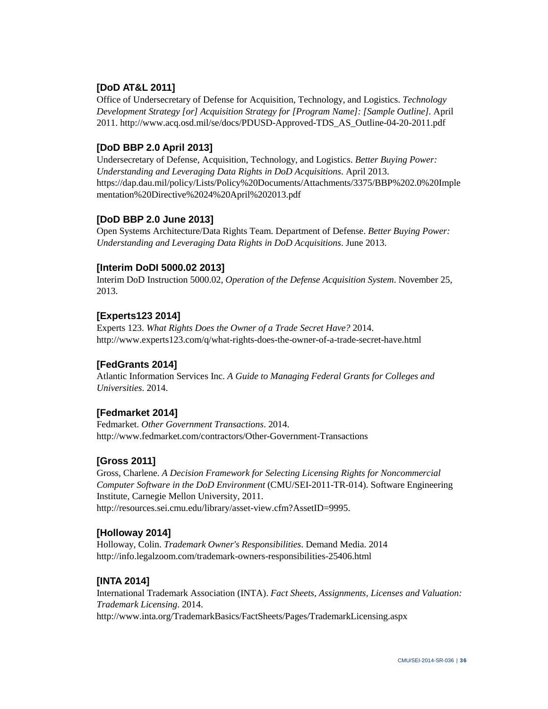#### **[DoD AT&L 2011]**

Office of Undersecretary of Defense for Acquisition, Technology, and Logistics. *Technology Development Strategy [or] Acquisition Strategy for [Program Name]: [Sample Outline].* April 2011. [http://www.acq.osd.mil/se/docs/PDUSD-Approved-TDS\\_AS\\_Outline-04-20-2011.pdf](http://www.acq.osd.mil/se/docs/PDUSD-Approved-TDS_AS_Outline-04-20-2011.pdf) 

#### **[DoD BBP 2.0 April 2013]**

Undersecretary of Defense, Acquisition, Technology, and Logistics. *Better Buying Power: Understanding and Leveraging Data Rights in DoD Acquisitions*. April 2013. <https://dap.dau.mil/policy/Lists/Policy%20Documents/Attachments/3375/BBP%202.0%20Imple> mentation%20Directive%2024%20April%202013.pdf

#### **[DoD BBP 2.0 June 2013]**

Open Systems Architecture/Data Rights Team. Department of Defense. *Better Buying Power: Understanding and Leveraging Data Rights in DoD Acquisitions*. June 2013.

#### **[Interim DoDI 5000.02 2013]**

Interim DoD Instruction 5000.02, *Operation of the Defense Acquisition System*. November 25, 2013.

#### **[Experts123 2014]**

Experts 123. *What Rights Does the Owner of a Trade Secret Have?* 2014. <http://www.experts123.com/q/what-rights-does-the-owner-of-a-trade-secret-have.html>

#### **[FedGrants 2014]**

Atlantic Information Services Inc. *A Guide to Managing Federal Grants for Colleges and Universities*. 2014.

#### **[Fedmarket 2014]**

Fedmarket. *Other Government Transactions*. 2014. <http://www.fedmarket.com/contractors/Other-Government-Transactions>

#### **[Gross 2011]**

Gross, Charlene. *A Decision Framework for Selecting Licensing Rights for Noncommercial Computer Software in the DoD Environment* (CMU/SEI-2011-TR-014). Software Engineering Institute, Carnegie Mellon University, 2011. [http://resources.sei.cmu.edu/library/asset-view.cfm?AssetID=9995.](http://resources.sei.cmu.edu/library/asset-view.cfm?AssetID=9995) 

#### **[Holloway 2014]**

Holloway, Colin. *Trademark Owner's Responsibilities*. Demand Media. 2014 <http://info.legalzoom.com/trademark-owners-responsibilities-25406.html>

#### **[INTA 2014]**

International Trademark Association (INTA). *Fact Sheets, Assignments, Licenses and Valuation: Trademark Licensing*. 2014.

<http://www.inta.org/TrademarkBasics/FactSheets/Pages/TrademarkLicensing.aspx>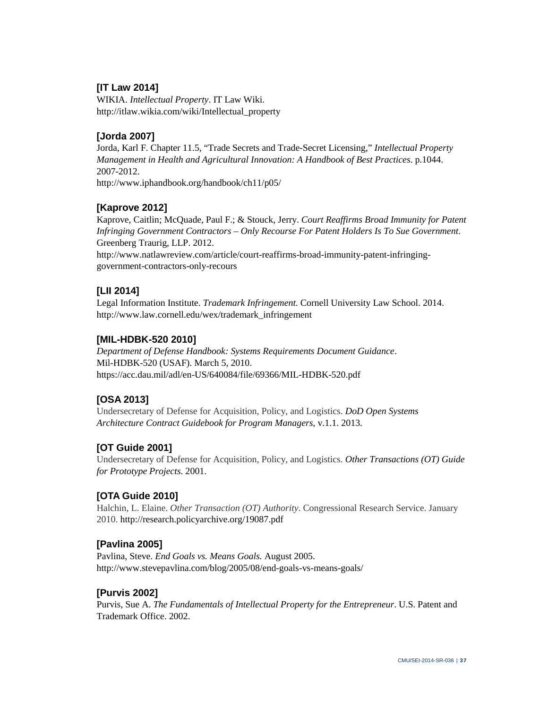#### **[IT Law 2014]**

WIKIA. *Intellectual Property*. IT Law Wiki. [http://itlaw.wikia.com/wiki/Intellectual\\_property](http://itlaw.wikia.com/wiki/Intellectual_property) 

#### **[Jorda 2007]**

Jorda, Karl F. Chapter 11.5, "Trade Secrets and Trade-Secret Licensing," *Intellectual Property Management in Health and Agricultural Innovation: A Handbook of Best Practices*. p.1044. 2007-2012. <http://www.iphandbook.org/handbook/ch11/p05/>

#### **[Kaprove 2012]**

Kaprove, Caitlin; McQuade, Paul F.; & Stouck, Jerry. *Court Reaffirms Broad Immunity for Patent Infringing Government Contractors – Only Recourse For Patent Holders Is To Sue Government*. Greenberg Traurig, LLP. 2012.

[http://www.natlawreview.com/article/court-reaffirms-broad-immunity-patent-infringing](http://www.natlawreview.com/article/court-reaffirms-broad-immunity-patent-infringing-government-CMU/SEI-2014-SR-036)government-contractors-only-recours

#### **[LII 2014]**

Legal Information Institute. *Trademark Infringement*. Cornell University Law School. 2014. [http://www.law.cornell.edu/wex/trademark\\_infringement](http://www.law.cornell.edu/wex/trademark_infringement) 

#### **[MIL-HDBK-520 2010]**

*Department of Defense Handbook: Systems Requirements Document Guidance*. Mil-HDBK-520 (USAF). March 5, 2010. <https://acc.dau.mil/adl/en-US/640084/file/69366/MIL-HDBK-520.pdf>

#### **[OSA 2013]**

Undersecretary of Defense for Acquisition, Policy, and Logistics. *DoD Open Systems Architecture Contract Guidebook for Program Managers*, v.1.1. 2013.

#### **[OT Guide 2001]**

Undersecretary of Defense for Acquisition, Policy, and Logistics. *Other Transactions (OT) Guide for Prototype Projects*. 2001.

#### **[OTA Guide 2010]**

Halchin, L. Elaine. *Other Transaction (OT) Authority*. Congressional Research Service. January 2010.<http://research.policyarchive.org/19087.pdf>

#### **[Pavlina 2005]**

Pavlina, Steve. *End Goals vs. Means Goals.* August 2005. <http://www.stevepavlina.com/blog/2005/08/end-goals-vs-means-goals/>

#### **[Purvis 2002]**

Purvis, Sue A. *The Fundamentals of Intellectual Property for the Entrepreneur*. U.S. Patent and Trademark Office. 2002.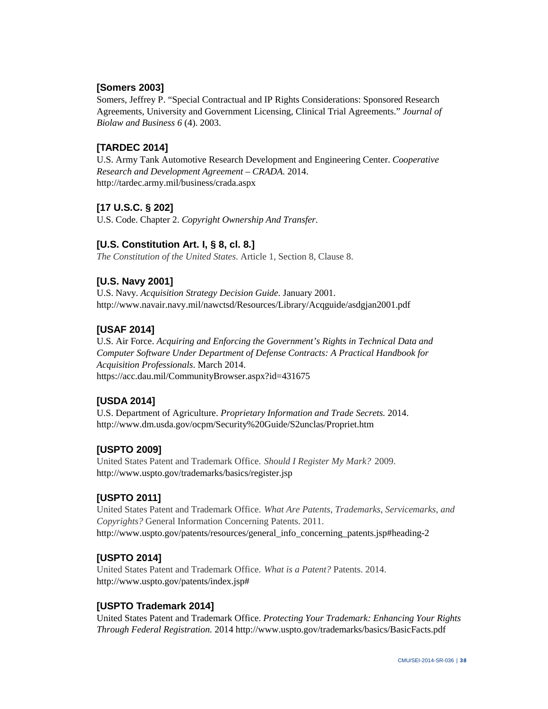#### **[Somers 2003]**

Somers, Jeffrey P. "Special Contractual and IP Rights Considerations: Sponsored Research Agreements, University and Government Licensing, Clinical Trial Agreements." *Journal of Biolaw and Business 6* (4). 2003.

#### **[TARDEC 2014]**

U.S. Army Tank Automotive Research Development and Engineering Center. *Cooperative Research and Development Agreement – CRADA.* 2014. <http://tardec.army.mil/business/crada.aspx>

#### **[17 U.S.C. § 202]**

U.S. Code. Chapter 2. *Copyright Ownership And Transfer*.

#### **[U.S. Constitution Art. I, § 8, cl. 8.]**

*The Constitution of the United States*. Article 1, Section 8, Clause 8.

#### **[U.S. Navy 2001]**

U.S. Navy. *Acquisition Strategy Decision Guide.* January 2001. <http://www.navair.navy.mil/nawctsd/Resources/Library/Acqguide/asdgjan2001.pdf>

#### **[USAF 2014]**

U.S. Air Force. *Acquiring and Enforcing the Government's Rights in Technical Data and Computer Software Under Department of Defense Contracts: A Practical Handbook for Acquisition Professionals*. March 2014. <https://acc.dau.mil/CommunityBrowser.aspx?id=431675>

#### **[USDA 2014]**

U.S. Department of Agriculture. *Proprietary Information and Trade Secrets.* 2014. <http://www.dm.usda.gov/ocpm/Security%20Guide/S2unclas/Propriet.htm>

#### **[USPTO 2009]**

United States Patent and Trademark Office. *Should I Register My Mark?* 2009. <http://www.uspto.gov/trademarks/basics/register.jsp>

#### **[USPTO 2011]**

United States Patent and Trademark Office. *What Are Patents, Trademarks, Servicemarks, and Copyrights?* General Information Concerning Patents. 2011. [http://www.uspto.gov/patents/resources/general\\_info\\_concerning\\_patents.jsp#heading-2](http://www.uspto.gov/patents/resources/general_info_concerning_patents.jsp#heading-2) 

#### **[USPTO 2014]**

United States Patent and Trademark Office. *What is a Patent?* Patents. 2014. <http://www.uspto.gov/patents/index.jsp#>

#### **[USPTO Trademark 2014]**

United States Patent and Trademark Office. *Protecting Your Trademark: Enhancing Your Rights Through Federal Registration.* 2014<http://www.uspto.gov/trademarks/basics/BasicFacts.pdf>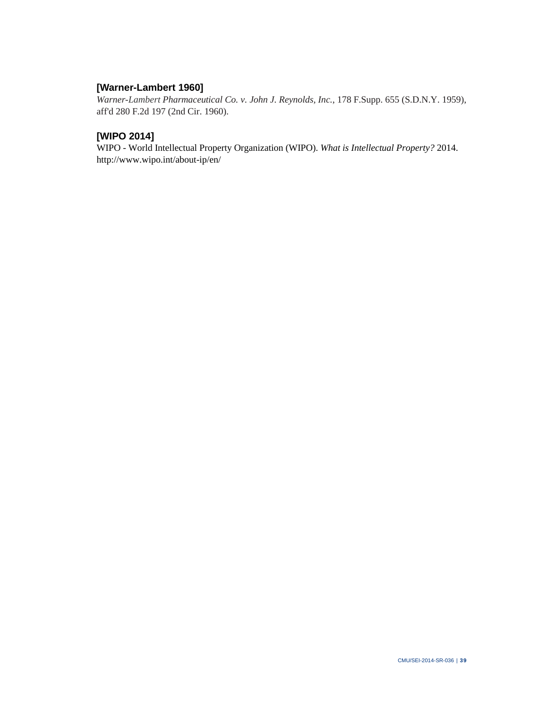#### **[Warner-Lambert 1960]**

*Warner-Lambert Pharmaceutical Co. v. John J. Reynolds, Inc.*, 178 F.Supp. 655 (S.D.N.Y. 1959), aff'd 280 F.2d 197 (2nd Cir. 1960).

#### **[WIPO 2014]**

WIPO - World Intellectual Property Organization (WIPO). *What is Intellectual Property?* 2014. <http://www.wipo.int/about-ip/en/>